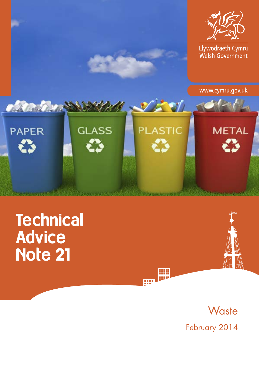

# **Technical** Advice Note 21



**Waste** February 2014

88 ------<br>=====

œ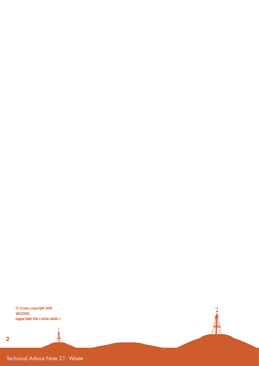**©** Crown copyright 2014 WG20521 Digital ISBN 978-1-4734-0695-7

ţ

性

H

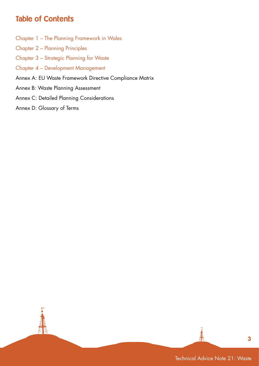## Table of Contents

- Chapter 1 The Planning Framework in Wales
- Chapter 2 Planning Principles
- Chapter 3 Strategic Planning for Waste
- Chapter 4 Development Management
- Annex A: EU Waste Framework Directive Compliance Matrix
- Annex B: Waste Planning Assessment
- Annex C: Detailed Planning Considerations
- Annex D: Glossary of Terms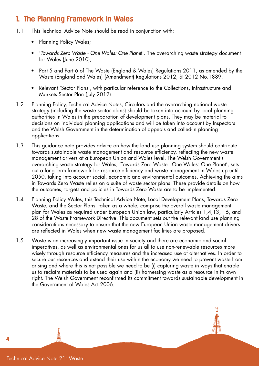### 1. The Planning Framework in Wales

- 1.1 This Technical Advice Note should be read in conjunction with:
	- Planning Policy Wales;
	- '*Towards Zero Waste One Wales: One Plane*t'. The overarching waste strategy document for Wales (June 2010);
	- Part 5 and Part 6 of The Waste (England & Wales) Regulations 2011, as amended by the Waste (England and Wales) (Amendment) Regulations 2012, SI 2012 No.1889.
	- Relevant 'Sector Plans', with particular reference to the Collections, Infrastructure and Markets Sector Plan (July 2012).
- 1.2 Planning Policy, Technical Advice Notes, Circulars and the overarching national waste strategy (including the waste sector plans) should be taken into account by local planning authorities in Wales in the preparation of development plans. They may be material to decisions on individual planning applications and will be taken into account by Inspectors and the Welsh Government in the determination of appeals and called-in planning applications.
- 1.3 This guidance note provides advice on how the land use planning system should contribute towards sustainable waste management and resource efficiency, reflecting the new waste management drivers at a European Union and Wales level. The Welsh Government's overarching waste strategy for Wales, 'Towards Zero Waste - One Wales: One Planet', sets out a long term framework for resource efficiency and waste management in Wales up until 2050, taking into account social, economic and environmental outcomes. Achieving the aims in Towards Zero Waste relies on a suite of waste sector plans. These provide details on how the outcomes, targets and policies in Towards Zero Waste are to be implemented.
- 1.4 Planning Policy Wales, this Technical Advice Note, Local Development Plans, Towards Zero Waste, and the Sector Plans, taken as a whole, comprise the overall waste management plan for Wales as required under European Union law, particularly Articles 1,4,13, 16, and 28 of the Waste Framework Directive. This document sets out the relevant land use planning considerations necessary to ensure that the new European Union waste management drivers are reflected in Wales when new waste management facilities are proposed.
- 1.5 Waste is an increasingly important issue in society and there are economic and social imperatives, as well as environmental ones for us all to use non-renewable resources more wisely through resource efficiency measures and the increased use of alternatives. In order to secure our resources and extend their use within the economy we need to prevent waste from arising and where this is not possible we need to be (i) capturing waste in ways that enable us to reclaim materials to be used again and (ii) harnessing waste as a resource in its own right. The Welsh Government reconfirmed its commitment towards sustainable development in the Government of Wales Act 2006.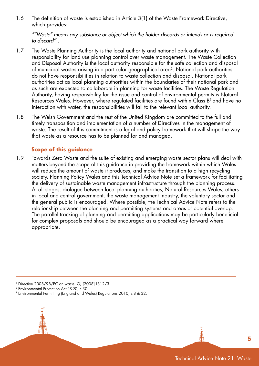1.6 The definition of waste is established in Article 3(1) of the Waste Framework Directive, which provides:

*""Waste" means any substance or object which the holder discards or intends or is required to discard"*1.

- 1.7 The Waste Planning Authority is the local authority and national park authority with responsibility for land use planning control over waste management. The Waste Collection and Disposal Authority is the local authority responsible for the safe collection and disposal of municipal wastes arising in a particular geographical area<sup>2</sup>. National park authorities do not have responsibilities in relation to waste collection and disposal. National park authorities act as local planning authorities within the boundaries of their national park and as such are expected to collaborate in planning for waste facilities. The Waste Regulation Authority, having responsibility for the issue and control of environmental permits is Natural Resources Wales. However, where regulated facilities are found within Class  $B<sup>3</sup>$  and have no interaction with water, the responsibilities will fall to the relevant local authority.
- 1.8 The Welsh Government and the rest of the United Kingdom are committed to the full and timely transposition and implementation of a number of Directives in the management of waste. The result of this commitment is a legal and policy framework that will shape the way that waste as a resource has to be planned for and managed.

#### **Scope of this guidance**

1.9 Towards Zero Waste and the suite of existing and emerging waste sector plans will deal with matters beyond the scope of this guidance in providing the framework within which Wales will reduce the amount of waste it produces, and make the transition to a high recycling society. Planning Policy Wales and this Technical Advice Note set a framework for facilitating the delivery of sustainable waste management infrastructure through the planning process. At all stages, dialogue between local planning authorities, Natural Resources Wales, others in local and central government, the waste management industry, the voluntary sector and the general public is encouraged. Where possible, the Technical Advice Note refers to the relationship between the planning and permitting systems and areas of potential overlap. The parallel tracking of planning and permitting applications may be particularly beneficial for complex proposals and should be encouraged as a practical way forward where appropriate.

1 Directive 2008/98/EC on waste, OJ [2008] L312/3.

2 Environmental Protection Act 1990, s.30.

3 Environmental Permitting (England and Wales) Regulations 2010, s.8 & 32.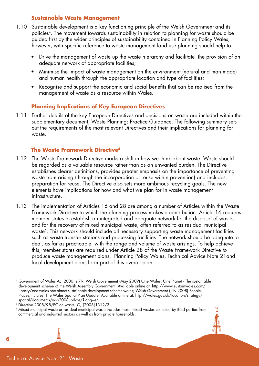#### **Sustainable Waste Management**

- 1.10 Sustainable development is a key functioning principle of the Welsh Government and its policies4. The movement towards sustainability in relation to planning for waste should be guided first by the wider principles of sustainability contained in Planning Policy Wales, however, with specific reference to waste management land use planning should help to:
	- Drive the management of waste up the waste hierarchy and facilitate the provision of an adequate network of appropriate facilities;
	- Minimise the impact of waste management on the environment (natural and man made) and human health through the appropriate location and type of facilities;
	- Recognise and support the economic and social benefits that can be realised from the management of waste as a resource within Wales.

#### **Planning Implications of Key European Directives**

1.11 Further details of the key European Directives and decisions on waste are included within the supplementary document, Waste Planning: Practice Guidance. The following summary sets out the requirements of the most relevant Directives and their implications for planning for waste.

#### **The Waste Framework Directive5**

- 1.12 The Waste Framework Directive marks a shift in how we think about waste. Waste should be regarded as a valuable resource rather than as an unwanted burden. The Directive establishes clearer definitions, provides greater emphasis on the importance of preventing waste from arising (through the incorporation of reuse within prevention) and includes preparation for reuse. The Directive also sets more ambitious recycling goals. The new elements have implications for how and what we plan for in waste management infrastructure.
- 1.13 The implementation of Articles 16 and 28 are among a number of Articles within the Waste Framework Directive to which the planning process makes a contribution. Article 16 requires member states to establish an integrated and adequate network for the disposal of wastes, and for the recovery of mixed municipal waste, often referred to as residual municipal waste<sup>6</sup>. This network should include all necessary supporting waste management facilities such as waste transfer stations and processing facilities. The network should be adequate to deal, as far as practicable, with the range and volume of waste arisings. To help achieve this, member states are required under Article 28 of the Waste Framework Directive to produce waste management plans. Planning Policy Wales, Technical Advice Note 21and local development plans form part of this overall plan.

Technical Advice Note 21: Waste

<sup>4</sup> Government of Wales Act 2006, s.79; Welsh Government (May 2009) One Wales: One Planet - The sustainable development scheme of the Welsh Assembly Government. Available online at: http://www.sustainwales.com/ library/one-wales-one-planet-sustainable-development-scheme-wales; Welsh Government (July 2008) People, Places, Futures: The Wales Spatial Plan Update. Available online at: http://wales.gov.uk/location/strategy/ spatial/documents/wsp2008update/?lang=en.

<sup>5</sup> Directive 2008/98/EC on waste, OJ [2008] L312/3.

<sup>6</sup> Mixed municipal waste or residual municipal waste includes those mixed wastes collected by third parties from commercial and industrial sectors as well as from private households.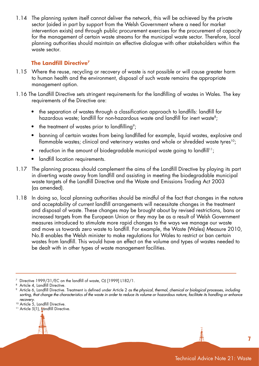1.14 The planning system itself cannot deliver the network, this will be achieved by the private sector (aided in part by support from the Welsh Government where a need for market intervention exists) and through public procurement exercises for the procurement of capacity for the management of certain waste streams for the municipal waste sector. Therefore, local planning authorities should maintain an effective dialogue with other stakeholders within the waste sector.

#### **The Landfill Directive7**

- 1.15 Where the reuse, recycling or recovery of waste is not possible or will cause greater harm to human health and the environment, disposal of such waste remains the appropriate management option.
- 1.16 The Landfill Directive sets stringent requirements for the landfilling of wastes in Wales. The key requirements of the Directive are:
	- the separation of wastes through a classification approach to landfills: landfill for hazardous waste; landfill for non-hazardous waste and landfill for inert waste<sup>8</sup>;
	- the treatment of wastes prior to landfilling<sup>9</sup>:
	- banning of certain wastes from being landfilled for example, liquid wastes, explosive and flammable wastes; clinical and veterinary wastes and whole or shredded waste tyres<sup>10</sup>;
	- reduction in the amount of biodegradable municipal waste going to landfill<sup>11</sup>;
	- landfill location requirements.
- 1.17 The planning process should complement the aims of the Landfill Directive by playing its part in diverting waste away from landfill and assisting in meeting the biodegradable municipal waste targets of the Landfill Directive and the Waste and Emissions Trading Act 2003 (as amended).
- 1.18 In doing so, local planning authorities should be mindful of the fact that changes in the nature and acceptability of current landfill arrangements will necessitate changes in the treatment and disposal of waste. These changes may be brought about by revised restrictions, bans or increased targets from the European Union or they may be as a result of Welsh Government measures introduced to stimulate more rapid changes to the ways we manage our waste and move us towards zero waste to landfill. For example, the Waste (Wales) Measure 2010, No.8 enables the Welsh minister to make regulations for Wales to restrict or ban certain wastes from landfill. This would have an effect on the volume and types of wastes needed to be dealt with in other types of waste management facilities.

<sup>&</sup>lt;sup>11</sup> Article 5(1), **tandfill Directive.** 



 $7$  Directive 1999/31/EC on the landfill of waste, OJ [1999] L182/1.

Article 4, Landfill Directive.

<sup>9</sup> Article 6, Landfill Directive. Treatment is defined under Article 2 *as the physical, thermal, chemical or biological processes, including sorting, that change the characteristics of the waste in order to reduce its volume or hazardous nature, facilitate its handling or enhance recovery*.

<sup>&</sup>lt;sup>10</sup> Article 5, Landfill Directive.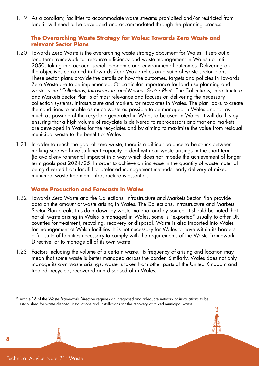1.19 As a corollary, facilities to accommodate waste streams prohibited and/or restricted from landfill will need to be developed and accommodated through the planning process.

#### **The Overarching Waste Strategy for Wales: Towards Zero Waste and relevant Sector Plans**

- 1.20 Towards Zero Waste is the overarching waste strategy document for Wales. It sets out a long term framework for resource efficiency and waste management in Wales up until 2050, taking into account social, economic and environmental outcomes. Delivering on the objectives contained in Towards Zero Waste relies on a suite of waste sector plans. These sector plans provide the details on how the outcomes, targets and policies in Towards Zero Waste are to be implemented. Of particular importance for land use planning and waste is the '*Collections, Infrastructure and Markets Sector Plan*'. The Collections, Infrastructure and Markets Sector Plan is of most relevance and focuses on delivering the necessary collection systems, infrastructure and markets for recyclates in Wales. The plan looks to create the conditions to enable as much waste as possible to be managed in Wales and for as much as possible of the recyclate generated in Wales to be used in Wales. It will do this by ensuring that a high volume of recyclate is delivered to reprocessors and that end markets are developed in Wales for the recyclates and by aiming to maximise the value from residual municipal waste to the benefit of Wales<sup>12</sup>.
- 1.21 In order to reach the goal of zero waste, there is a difficult balance to be struck between making sure we have sufficient capacity to deal with our waste arisings in the short term (to avoid environmental impacts) in a way which does not impede the achievement of longer term goals post 2024/25. In order to achieve an increase in the quantity of waste material being diverted from landfill to preferred management methods, early delivery of mixed municipal waste treatment infrastructure is essential.

#### **Waste Production and Forecasts in Wales**

- 1.22 Towards Zero Waste and the Collections, Infrastructure and Markets Sector Plan provide data on the amount of waste arising in Wales. The Collections, Infrastructure and Markets Sector Plan breaks this data down by waste material and by source. It should be noted that not all waste arising in Wales is managed in Wales, some is "exported" usually to other UK counties for treatment, recycling, recovery or disposal. Waste is also imported into Wales for management at Welsh facilities. It is not necessary for Wales to have within its borders a full suite of facilities necessary to comply with the requirements of the Waste Framework Directive, or to manage all of its own waste.
- 1.23 Factors including the volume of a certain waste, its frequency of arising and location may mean that some waste is better managed across the border. Similarly, Wales does not only manage its own waste arisings, waste is taken from other parts of the United Kingdom and treated, recycled, recovered and disposed of in Wales.

<sup>&</sup>lt;sup>12</sup> Article 16 of the Waste Framework Directive requires an integrated and adequate network of installations to be established for waste disposal installations and installations for the recovery of mixed municipal waste.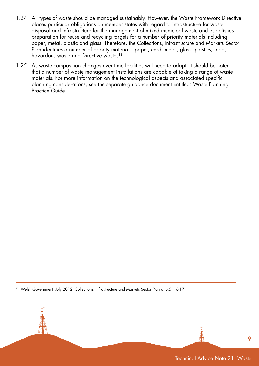- 1.24 All types of waste should be managed sustainably. However, the Waste Framework Directive places particular obligations on member states with regard to infrastructure for waste disposal and infrastructure for the management of mixed municipal waste and establishes preparation for reuse and recycling targets for a number of priority materials including paper, metal, plastic and glass. Therefore, the Collections, Infrastructure and Markets Sector Plan identifies a number of priority materials: paper, card, metal, glass, plastics, food, hazardous waste and Directive wastes<sup>13</sup>.
- 1.25 As waste composition changes over time facilities will need to adapt. It should be noted that a number of waste management installations are capable of taking a range of waste materials. For more information on the technological aspects and associated specific planning considerations, see the separate guidance document entitled: Waste Planning: Practice Guide.

<sup>13</sup> Welsh Government (July 2012) Collections, Infrastructure and Markets Sector Plan at p.5, 16-17.

Technical Advice Note 21: Waste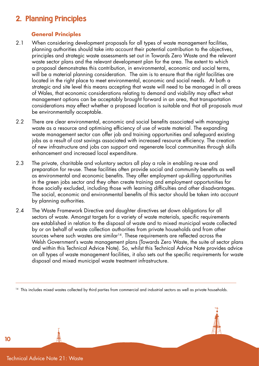## 2. Planning Principles

#### **General Principles**

- 2.1 When considering development proposals for all types of waste management facilities, planning authorities should take into account their potential contribution to the objectives, principles and strategic waste assessments set out in Towards Zero Waste and the relevant waste sector plans and the relevant development plan for the area. The extent to which a proposal demonstrates this contribution, in environmental, economic and social terms, will be a material planning consideration. The aim is to ensure that the right facilities are located in the right place to meet environmental, economic and social needs. At both a strategic and site level this means accepting that waste will need to be managed in all areas of Wales, that economic considerations relating to demand and viability may affect what management options can be acceptably brought forward in an area, that transportation considerations may effect whether a proposed location is suitable and that all proposals must be environmentally acceptable.
- 2.2 There are clear environmental, economic and social benefits associated with managing waste as a resource and optimising efficiency of use of waste material. The expanding waste management sector can offer job and training opportunities and safeguard existing jobs as a result of cost savings associated with increased resource efficiency. The creation of new infrastructure and jobs can support and regenerate local communities through skills enhancement and increased local expenditure.
- 2.3 The private, charitable and voluntary sectors all play a role in enabling re-use and preparation for re-use. These facilities often provide social and community benefits as well as environmental and economic benefits. They offer employment up-skilling opportunities in the green jobs sector and they often create training and employment opportunities for those socially excluded, including those with learning difficulties and other disadvantages. The social, economic and environmental benefits of this sector should be taken into account by planning authorities.
- 2.4 The Waste Framework Directive and daughter directives set down obligations for all sectors of waste. Amongst targets for a variety of waste materials, specific requirements are established in relation to the disposal of waste and to mixed municipal waste collected by or on behalf of waste collection authorities from private households and from other sources where such wastes are similar<sup>14</sup>. These requirements are reflected across the Welsh Government's waste management plans (Towards Zero Waste, the suite of sector plans and within this Technical Advice Note). So, whilst this Technical Advice Note provides advice on all types of waste management facilities, it also sets out the specific requirements for waste disposal and mixed municipal waste treatment infrastructure.

<sup>14</sup> This includes mixed wastes collected by third parties from commercial and industrial sectors as well as private households.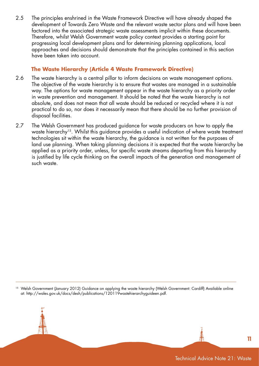2.5 The principles enshrined in the Waste Framework Directive will have already shaped the development of Towards Zero Waste and the relevant waste sector plans and will have been factored into the associated strategic waste assessments implicit within these documents. Therefore, whilst Welsh Government waste policy context provides a starting point for progressing local development plans and for determining planning applications, local approaches and decisions should demonstrate that the principles contained in this section have been taken into account.

#### **The Waste Hierarchy (Article 4 Waste Framework Directive)**

- 2.6 The waste hierarchy is a central pillar to inform decisions on waste management options. The objective of the waste hierarchy is to ensure that wastes are managed in a sustainable way. The options for waste management appear in the waste hierarchy as a priority order in waste prevention and management. It should be noted that the waste hierarchy is not absolute, and does not mean that all waste should be reduced or recycled where it is not practical to do so, nor does it necessarily mean that there should be no further provision of disposal facilities.
- 2.7 The Welsh Government has produced guidance for waste producers on how to apply the waste hierarchy<sup>15</sup>. Whilst this guidance provides a useful indication of where waste treatment technologies sit within the waste hierarchy, the guidance is not written for the purposes of land use planning. When taking planning decisions it is expected that the waste hierarchy be applied as a priority order, unless, for specific waste streams departing from this hierarchy is justified by life cycle thinking on the overall impacts of the generation and management of such waste.

<sup>15</sup> Welsh Government (January 2012) Guidance on applying the waste hierarchy (Welsh Government: Cardiff) Available online at: http://wales.gov.uk/docs/desh/publications/120119wastehierarchyguideen.pdf.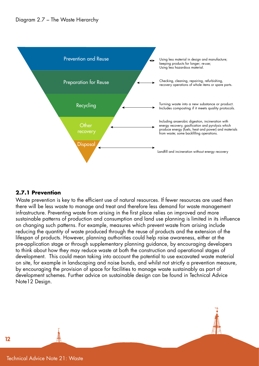

#### **2.7.1 Prevention**

Waste prevention is key to the efficient use of natural resources. If fewer resources are used then there will be less waste to manage and treat and therefore less demand for waste management infrastructure. Preventing waste from arising in the first place relies on improved and more sustainable patterns of production and consumption and land use planning is limited in its influence on changing such patterns. For example, measures which prevent waste from arising include reducing the quantity of waste produced through the reuse of products and the extension of the lifespan of products. However, planning authorities could help raise awareness, either at the pre-application stage or through supplementary planning guidance, by encouraging developers to think about how they may reduce waste at both the construction and operational stages of development. This could mean taking into account the potential to use excavated waste material on site, for example in landscaping and noise bunds, and whilst not strictly a prevention measure, by encouraging the provision of space for facilities to manage waste sustainably as part of development schemes. Further advice on sustainable design can be found in Technical Advice Note12 Design.

Technical Advice Note 21: Waste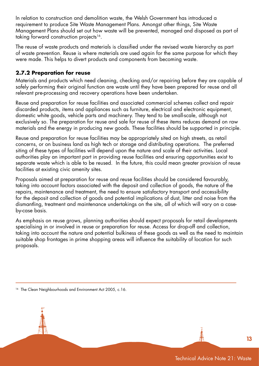In relation to construction and demolition waste, the Welsh Government has introduced a requirement to produce Site Waste Management Plans. Amongst other things, Site Waste Management Plans should set out how waste will be prevented, managed and disposed as part of taking forward construction projects<sup>16</sup>.

The reuse of waste products and materials is classified under the revised waste hierarchy as part of waste prevention. Reuse is where materials are used again for the same purpose for which they were made. This helps to divert products and components from becoming waste.

#### **2.7.2 Preparation for reuse**

Materials and products which need cleaning, checking and/or repairing before they are capable of safely performing their original function are waste until they have been prepared for reuse and all relevant pre-processing and recovery operations have been undertaken.

Reuse and preparation for reuse facilities and associated commercial schemes collect and repair discarded products, items and appliances such as furniture, electrical and electronic equipment, domestic white goods, vehicle parts and machinery. They tend to be small-scale, although not exclusively so. The preparation for reuse and sale for reuse of these items reduces demand on raw materials and the energy in producing new goods. These facilities should be supported in principle.

Reuse and preparation for reuse facilities may be appropriately sited on high streets, as retail concerns, or on business land as high tech or storage and distributing operations. The preferred siting of these types of facilities will depend upon the nature and scale of their activities. Local authorities play an important part in providing reuse facilities and ensuring opportunities exist to separate waste which is able to be reused. In the future, this could mean greater provision of reuse facilities at existing civic amenity sites.

Proposals aimed at preparation for reuse and reuse facilities should be considered favourably, taking into account factors associated with the deposit and collection of goods, the nature of the repairs, maintenance and treatment, the need to ensure satisfactory transport and accessibility for the deposit and collection of goods and potential implications of dust, litter and noise from the dismantling, treatment and maintenance undertakings on the site, all of which will vary on a caseby-case basis.

As emphasis on reuse grows, planning authorities should expect proposals for retail developments specialising in or involved in reuse or preparation for reuse. Access for drop-off and collection, taking into account the nature and potential bulkiness of these goods as well as the need to maintain suitable shop frontages in prime shopping areas will influence the suitability of location for such proposals.

<sup>&</sup>lt;sup>16</sup> The Clean Neighbourhoods and Environment Act 2005, c.16.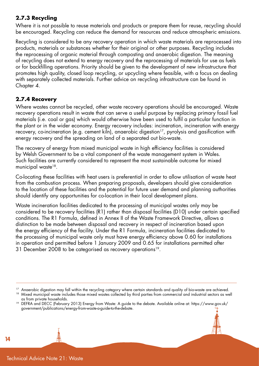#### **2.7.3 Recycling**

Where it is not possible to reuse materials and products or prepare them for reuse, recycling should be encouraged. Recycling can reduce the demand for resources and reduce atmospheric emissions.

Recycling is considered to be any recovery operation in which waste materials are reprocessed into products, materials or substances whether for their original or other purposes. Recycling includes the reprocessing of organic material through composting and anaerobic digestion. The meaning of recycling does not extend to energy recovery and the reprocessing of materials for use as fuels or for backfilling operations. Priority should be given to the development of new infrastructure that promotes high quality, closed loop recycling, or upcycling where feasible, with a focus on dealing with separately collected materials. Further advice on recycling infrastructure can be found in Chapter 4.

#### **2.7.4 Recovery**

Where wastes cannot be recycled, other waste recovery operations should be encouraged. Waste recovery operations result in waste that can serve a useful purpose by replacing primary fossil fuel materials (i.e. coal or gas) which would otherwise have been used to fulfil a particular function in the plant or in the wider economy. Energy recovery includes: incineration, incineration with energy recovery, co-incineration (e.g. cement kiln), anaerobic digestion<sup>17</sup>, pyrolysis and gasification with energy recovery and the spreading on land of a separated out bio-waste.

The recovery of energy from mixed municipal waste in high efficiency facilities is considered by Welsh Government to be a vital component of the waste management system in Wales. Such facilities are currently considered to represent the most sustainable outcome for mixed municipal waste<sup>18</sup>.

Co-locating these facilities with heat users is preferential in order to allow utilisation of waste heat from the combustion process. When preparing proposals, developers should give consideration to the location of these facilities and the potential for future user demand and planning authorities should identify any opportunities for co-location in their local development plans.

Waste incineration facilities dedicated to the processing of municipal wastes only may be considered to be recovery facilities (R1) rather than disposal facilities (D10) under certain specified conditions. The R1 Formula, defined in Annex II of the Waste Framework Directive, allows a distinction to be made between disposal and recovery in respect of incineration based upon the energy efficiency of the facility. Under the R1 Formula, incineration facilities dedicated to the processing of municipal waste only must have energy efficiency above 0.60 for installations in operation and permitted before 1 January 2009 and 0.65 for installations permitted after 31 December 2008 to be categorised as recovery operations<sup>19</sup>.

<sup>&</sup>lt;sup>17</sup> Anaerobic digestion may fall within the recycling category where certain standards and quality of bio-waste are achieved.

<sup>&</sup>lt;sup>18</sup> Mixed municipal waste includes those mixed wastes collected by third parties from commercial and industrial sectors as well as from private households.

<sup>19</sup> DEFRA and DECC (February 2013) Energy from Waste: A guide to the debate. Available online at: https://www.gov.uk/ government/publications/energy-from-waste-a-guide-to-the-debate.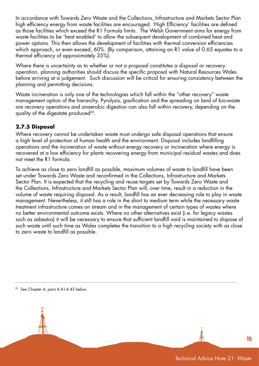In accordance with Towards Zero Waste and the Collections, Infrastructure and Markets Sector Plan high efficiency energy from waste facilities are encouraged. 'High Efficiency' facilities are defined as those facilities which exceed the R1 Formula limits. The Welsh Government aims for energy from waste facilities to be 'heat enabled' to allow the subsequent development of combined heat and power options. This then allows the development of facilities with thermal conversion efficiencies which approach, or even exceed, 60%. (By comparison, attaining an R1 value of 0.65 equates to a thermal efficiency of approximately 35%).

Where there is uncertainty as to whether or not a proposal constitutes a disposal or recovery operation, planning authorities should discuss the specific proposal with Natural Resources Wales before arriving at a judgement. Such discussion will be critical for ensuring consistency between the planning and permitting decisions.

Waste incineration is only one of the technologies which fall within the "other recovery" waste management option of the hierarchy. Pyrolysis, gasification and the spreading on land of bio-waste are recovery operations and anaerobic digestion can also fall within recovery, depending on the quality of the digestate produced<sup>20</sup>.

#### **2.7.5 Disposal**

Where recovery cannot be undertaken waste must undergo safe disposal operations that ensure a high level of protection of human health and the environment. Disposal includes landfilling operations and the incineration of waste without energy recovery or incineration where energy is recovered at a low efficiency for plants recovering energy from municipal residual wastes and does not meet the R1 formula.

To achieve as close to zero landfill as possible, maximum volumes of waste to landfill have been set under Towards Zero Waste and reconfirmed in the Collections, Infrastructure and Markets Sector Plan. It is expected that the recycling and reuse targets set by Towards Zero Waste and the Collections, Infrastructure and Markets Sector Plan will, over time, result in a reduction in the volume of waste requiring disposal. As a result, landfill has an ever decreasing role to play in waste management. Nevertheless, it still has a role in the short to medium term while the necessary waste treatment infrastructure comes on stream and in the management of certain types of wastes where no better environmental outcome exists. Where no other alternatives exist (i.e. for legacy wastes such as asbestos) it will be necessary to ensure that sufficient landfill void is maintained to dispose of such waste until such time as Wales completes the transition to a high recycling society with as close to zero waste to landfill as possible.

20 See Chapter 4, para 4.41-4.43 below.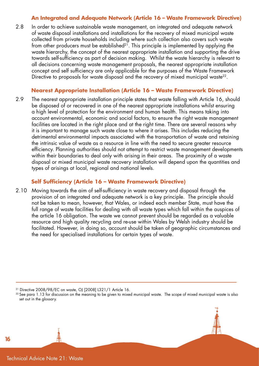#### **An Integrated and Adequate Network (Article 16 – Waste Framework Directive)**

2.8 In order to achieve sustainable waste management, an integrated and adequate network of waste disposal installations and installations for the recovery of mixed municipal waste collected from private households including where such collection also covers such waste from other producers must be established<sup>21</sup>. This principle is implemented by applying the waste hierarchy, the concept of the nearest appropriate installation and supporting the drive towards self-sufficiency as part of decision making. Whilst the waste hierarchy is relevant to all decisions concerning waste management proposals, the nearest appropriate installation concept and self sufficiency are only applicable for the purposes of the Waste Framework Directive to proposals for waste disposal and the recovery of mixed municipal waste<sup>22</sup>.

#### **Nearest Appropriate Installation (Article 16 – Waste Framework Directive)**

2.9 The nearest appropriate installation principle states that waste falling with Article 16, should be disposed of or recovered in one of the nearest appropriate installations whilst ensuring a high level of protection for the environment and human health. This means taking into account environmental, economic and social factors, to ensure the right waste management facilities are located in the right place and at the right time. There are several reasons why it is important to manage such waste close to where it arises. This includes reducing the detrimental environmental impacts associated with the transportation of waste and retaining the intrinsic value of waste as a resource in line with the need to secure greater resource efficiency. Planning authorities should not attempt to restrict waste management developments within their boundaries to deal only with arising in their areas. The proximity of a waste disposal or mixed municipal waste recovery installation will depend upon the quantities and types of arisings at local, regional and national levels.

#### **Self Sufficiency (Article 16 – Waste Framework Directive)**

2.10 Moving towards the aim of self-sufficiency in waste recovery and disposal through the provision of an integrated and adequate network is a key principle. The principle should not be taken to mean, however, that Wales, or indeed each member State, must have the full range of waste facilities for dealing with all waste types which fall within the auspices of the article 16 obligation. The waste we cannot prevent should be regarded as a valuable resource and high quality recycling and re-use within Wales by Welsh industry should be facilitated. However, in doing so, account should be taken of geographic circumstances and the need for specialised installations for certain types of waste.



<sup>21</sup> Directive 2008/98/EC on waste, OJ [2008] L321/1 Article 16.

<sup>&</sup>lt;sup>22</sup> See para 1.13 for discussion on the meaning to be given to mixed municipal waste. The scope of mixed municipal waste is also set out in the glossary.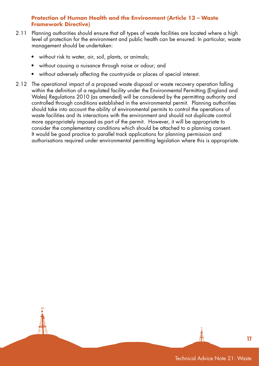#### **Protection of Human Health and the Environment (Article 13 – Waste Framework Directive)**

- 2.11 Planning authorities should ensure that all types of waste facilities are located where a high level of protection for the environment and public health can be ensured. In particular, waste management should be undertaken:
	- without risk to water, air, soil, plants, or animals;
	- without causing a nuisance through noise or odour; and
	- without adversely affecting the countryside or places of special interest.
- 2.12 The operational impact of a proposed waste disposal or waste recovery operation falling within the definition of a regulated facility under the Environmental Permitting (England and Wales) Regulations 2010 (as amended) will be considered by the permitting authority and controlled through conditions established in the environmental permit. Planning authorities should take into account the ability of environmental permits to control the operations of waste facilities and its interactions with the environment and should not duplicate control more appropriately imposed as part of the permit. However, it will be appropriate to consider the complementary conditions which should be attached to a planning consent. It would be good practice to parallel track applications for planning permission and authorisations required under environmental permitting legislation where this is appropriate.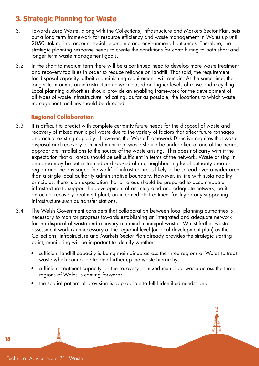## 3. Strategic Planning for Waste

- 3.1 Towards Zero Waste, along with the Collections, Infrastructure and Markets Sector Plan, sets out a long term framework for resource efficiency and waste management in Wales up until 2050, taking into account social, economic and environmental outcomes. Therefore, the strategic planning response needs to create the conditions for contributing to both short and longer term waste management goals.
- 3.2 In the short to medium term there will be a continued need to develop more waste treatment and recovery facilities in order to reduce reliance on landfill. That said, the requirement for disposal capacity, albeit a diminishing requirement, will remain. At the same time, the longer term aim is an infrastructure network based on higher levels of reuse and recycling. Local planning authorities should provide an enabling framework for the development of all types of waste infrastructure indicating, as far as possible, the locations to which waste management facilities should be directed.

#### **Regional Collaboration**

- 3.3 It is difficult to predict with complete certainty future needs for the disposal of waste and recovery of mixed municipal waste due to the variety of factors that affect future tonnages and actual existing capacity. However, the Waste Framework Directive requires that waste disposal and recovery of mixed municipal waste should be undertaken at one of the nearest appropriate installations to the source of the waste arising. This does not carry with it the expectation that all areas should be self sufficient in terms of the network. Waste arising in one area may be better treated or disposed of in a neighbouring local authority area or region and the envisaged 'network' of infrastructure is likely to be spread over a wider area than a single local authority administrative boundary. However, in line with sustainability principles, there is an expectation that all areas should be prepared to accommodate infrastructure to support the development of an integrated and adequate network, be it an actual recovery treatment plant, an intermediate treatment facility or any supporting infrastructure such as transfer stations.
- 3.4 The Welsh Government considers that collaboration between local planning authorities is necessary to monitor progress towards establishing an integrated and adequate network for the disposal of waste and recovery of mixed municipal waste. Whilst further waste assessment work is unnecessary at the regional level (or local development plan) as the Collections, Infrastructure and Markets Sector Plan already provides the strategic starting point, monitoring will be important to identify whether:-
	- sufficient landfill capacity is being maintained across the three regions of Wales to treat waste which cannot be treated further up the waste hierarchy;
	- sufficient treatment capacity for the recovery of mixed municipal waste across the three regions of Wales is coming forward;
	- the spatial pattern of provision is appropriate to fulfil identified needs; and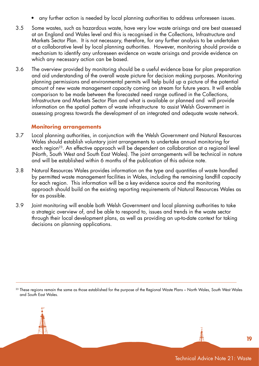- any further action is needed by local planning authorities to address unforeseen issues.
- 3.5 Some wastes, such as hazardous waste, have very low waste arisings and are best assessed at an England and Wales level and this is recognised in the Collections, Infrastructure and Markets Sector Plan. It is not necessary, therefore, for any further analysis to be undertaken at a collaborative level by local planning authorities. However, monitoring should provide a mechanism to identify any unforeseen evidence on waste arisings and provide evidence on which any necessary action can be based.
- 3.6 The overview provided by monitoring should be a useful evidence base for plan preparation and aid understanding of the overall waste picture for decision making purposes. Monitoring planning permissions and environmental permits will help build up a picture of the potential amount of new waste management capacity coming on stream for future years. It will enable comparison to be made between the forecasted need range outlined in the Collections, Infrastructure and Markets Sector Plan and what is available or planned and will provide information on the spatial pattern of waste infrastructure to assist Welsh Government in assessing progress towards the development of an integrated and adequate waste network.

#### **Monitoring arrangements**

- 3.7 Local planning authorities, in conjunction with the Welsh Government and Natural Resources Wales should establish voluntary joint arrangements to undertake annual monitoring for each region<sup>23</sup>. An effective approach will be dependent on collaboration at a regional level (North, South West and South East Wales). The joint arrangements will be technical in nature and will be established within 6 months of the publication of this advice note.
- 3.8 Natural Resources Wales provides information on the type and quantities of waste handled by permitted waste management facilities in Wales, including the remaining landfill capacity for each region. This information will be a key evidence source and the monitoring approach should build on the existing reporting requirements of Natural Resources Wales as far as possible.
- 3.9 Joint monitoring will enable both Welsh Government and local planning authorities to take a strategic overview of, and be able to respond to, issues and trends in the waste sector through their local development plans, as well as providing an up-to-date context for taking decisions on planning applications.

<sup>23</sup> These regions remain the same as those established for the purpose of the Regional Waste Plans – North Wales, South West Wales and South East Wales.

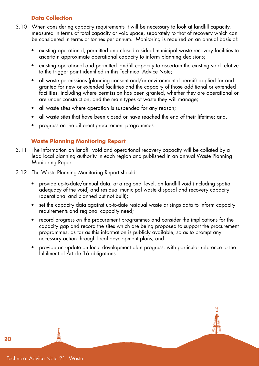#### **Data Collection**

- 3.10 When considering capacity requirements it will be necessary to look at landfill capacity, measured in terms of total capacity or void space, separately to that of recovery which can be considered in terms of tonnes per annum. Monitoring is required on an annual basis of:
	- existing operational, permitted and closed residual municipal waste recovery facilities to ascertain approximate operational capacity to inform planning decisions;
	- existing operational and permitted landfill capacity to ascertain the existing void relative to the trigger point identified in this Technical Advice Note;
	- all waste permissions (planning consent and/or environmental permit) applied for and granted for new or extended facilities and the capacity of those additional or extended facilities, including where permission has been granted, whether they are operational or are under construction, and the main types of waste they will manage;
	- all waste sites where operation is suspended for any reason;
	- all waste sites that have been closed or have reached the end of their lifetime; and,
	- progress on the different procurement programmes.

#### **Waste Planning Monitoring Report**

- 3.11 The information on landfill void and operational recovery capacity will be collated by a lead local planning authority in each region and published in an annual Waste Planning Monitoring Report.
- 3.12 The Waste Planning Monitoring Report should:
	- provide up-to-date/annual data, at a regional level, on landfill void (including spatial adequacy of the void) and residual municipal waste disposal and recovery capacity (operational and planned but not built);
	- set the capacity data against up-to-date residual waste arisings data to inform capacity requirements and regional capacity need;
	- record progress on the procurement programmes and consider the implications for the capacity gap and record the sites which are being proposed to support the procurement programmes, as far as this information is publicly available, so as to prompt any necessary action through local development plans; and
	- provide an update on local development plan progress, with particular reference to the fulfilment of Article 16 obligations.



Technical Advice Note 21: Waste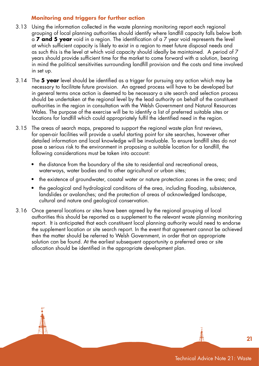#### **Monitoring and triggers for further action**

- 3.13 Using the information collected in the waste planning monitoring report each regional grouping of local planning authorities should identify where landfill capacity falls below both a **7 and 5 year** void in a region. The identification of a 7 year void represents the level at which sufficient capacity is likely to exist in a region to meet future disposal needs and as such this is the level at which void capacity should ideally be maintained. A period of 7 years should provide sufficient time for the market to come forward with a solution, bearing in mind the political sensitivities surrounding landfill provision and the costs and time involved in set up.
- 3.14 The **5 year** level should be identified as a trigger for pursuing any action which may be necessary to facilitate future provision. An agreed process will have to be developed but in general terms once action is deemed to be necessary a site search and selection process should be undertaken at the regional level by the lead authority on behalf of the constituent authorities in the region in consultation with the Welsh Government and Natural Resources Wales. The purpose of the exercise will be to identify a list of preferred suitable sites or locations for landfill which could appropriately fulfil the identified need in the region.
- 3.15 The areas of search maps, prepared to support the regional waste plan first reviews, for open-air facilities will provide a useful starting point for site searches, however other detailed information and local knowledge will be invaluable. To ensure landfill sites do not pose a serious risk to the environment in proposing a suitable location for a landfill, the following considerations must be taken into account:
	- the distance from the boundary of the site to residential and recreational areas, waterways, water bodies and to other agricultural or urban sites;
	- the existence of groundwater, coastal water or nature protection zones in the area; and
	- the geological and hydrological conditions of the area, including flooding, subsistence, landslides or avalanches; and the protection of areas of acknowledged landscape, cultural and nature and geological conservation.
- 3.16 Once general locations or sites have been agreed by the regional grouping of local authorities this should be reported as a supplement to the relevant waste planning monitoring report. It is anticipated that each constituent local planning authority would need to endorse the supplement location or site search report. In the event that agreement cannot be achieved then the matter should be referred to Welsh Government, in order that an appropriate solution can be found. At the earliest subsequent opportunity a preferred area or site allocation should be identified in the appropriate development plan.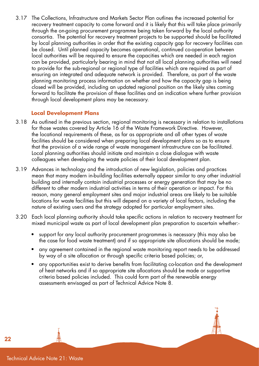3.17 The Collections, Infrastructure and Markets Sector Plan outlines the increased potential for recovery treatment capacity to come forward and it is likely that this will take place primarily through the on-going procurement programme being taken forward by the local authority consortia. The potential for recovery treatment projects to be supported should be facilitated by local planning authorities in order that the existing capacity gap for recovery facilities can be closed. Until planned capacity becomes operational, continued co-operation between local authorities will be required to ensure the capacities which are needed in each region can be provided, particularly bearing in mind that not all local planning authorities will need to provide for the sub-regional or regional type of facilities which are required as part of ensuring an integrated and adequate network is provided. Therefore, as part of the waste planning monitoring process information on whether and how the capacity gap is being closed will be provided, including an updated regional position on the likely sites coming forward to facilitate the provision of these facilities and an indication where further provision through local development plans may be necessary.

#### **Local Development Plans**

- 3.18 As outlined in the previous section, regional monitoring is necessary in relation to installations for those wastes covered by Article 16 of the Waste Framework Directive. However, the locational requirements of these, as far as appropriate and all other types of waste facilities should be considered when preparing local development plans so as to ensure that the provision of a wide range of waste management infrastructure can be facilitated. Local planning authorities should initiate and maintain a close dialogue with waste colleagues when developing the waste policies of their local development plan.
- 3.19 Advances in technology and the introduction of new legislation, policies and practices mean that many modern in-building facilities externally appear similar to any other industrial building and internally contain industrial processes or energy generation that may be no different to other modern industrial activities in terms of their operation or impact. For this reason, many general employment sites and major industrial areas are likely to be suitable locations for waste facilities but this will depend on a variety of local factors, including the nature of existing users and the strategy adopted for particular employment sites.
- 3.20 Each local planning authority should take specific actions in relation to recovery treatment for mixed municipal waste as part of local development plan preparation to ascertain whether:-
	- support for any local authority procurement programmes is necessary (this may also be the case for food waste treatment) and if so appropriate site allocations should be made;
	- any agreement contained in the regional waste monitoring report needs to be addressed by way of a site allocation or through specific criteria based policies; or,
	- any opportunities exist to derive benefits from facilitating co-location and the development of heat networks and if so appropriate site allocations should be made or supportive criteria based policies included. This could form part of the renewable energy assessments envisaged as part of Technical Advice Note 8.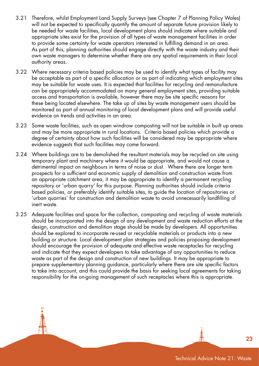- 3.21 Therefore, whilst Employment Land Supply Surveys (see Chapter 7 of Planning Policy Wales) will not be expected to specifically quantify the amount of separate future provision likely to be needed for waste facilities, local development plans should indicate where suitable and appropriate sites exist for the provision of all types of waste management facilities in order to provide some certainty for waste operators interested in fulfilling demand in an area. As part of this, planning authorities should engage directly with the waste industry and their own waste managers to determine whether there are any spatial requirements in their local authority areas.
- 3.22 Where necessary criteria based policies may be used to identify what types of facility may be acceptable as part of a specific allocation or as part of indicating which employment sites may be suitable for waste uses. It is expected that facilities for recycling and remanufacture can be appropriately accommodated on many general employment sites, providing suitable access and transportation is available, however there may be site specific reasons for these being located elsewhere. The take up of sites by waste management users should be monitored as part of annual monitoring of local development plans and will provide useful evidence on trends and activities in an area.
- 3.23 Some waste facilities, such as open windrow composting will not be suitable in built up areas and may be more appropriate in rural locations. Criteria based policies which provide a degree of certainty about how such facilities will be considered may be appropriate where evidence suggests that such facilities may come forward.
- 3.24 Where buildings are to be demolished the resultant materials may be recycled on site using temporary plant and machinery where it would be appropriate, and would not cause a detrimental impact on neighbours in terms of noise or dust. Where there are longer term prospects for a sufficient and economic supply of demolition and construction waste from an appropriate catchment area, it may be appropriate to identify a permanent recycling repository or 'urban quarry' for this purpose. Planning authorities should include criteria based policies, or preferably identify suitable sites, to guide the location of repositories or 'urban quarries' for construction and demolition waste to avoid unnecessarily landfilling of inert waste.
- 3.25 Adequate facilities and space for the collection, composting and recycling of waste materials should be incorporated into the design of any development and waste reduction efforts at the design, construction and demolition stage should be made by developers. All opportunities should be explored to incorporate re-used or recyclable materials or products into a new building or structure. Local development plan strategies and policies proposing development should encourage the provision of adequate and effective waste receptacles for recycling and indicate that they expect developers to take advantage of any opportunities to reduce waste as part of the design and construction of new buildings. It may be appropriate to prepare supplementary planning guidance, particularly where there are site specific factors to take into account, and this could provide the basis for seeking local agreements for taking responsibility for the on-going management of such receptacles where this is appropriate.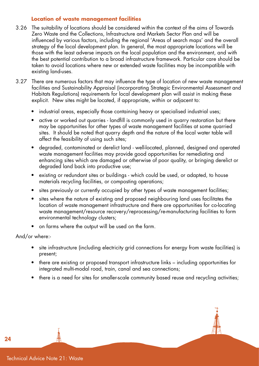#### **Location of waste management facilities**

- 3.26 The suitability of locations should be considered within the context of the aims of Towards Zero Waste and the Collections, Infrastructure and Markets Sector Plan and will be influenced by various factors, including the regional 'Areas of search maps' and the overall strategy of the local development plan. In general, the most appropriate locations will be those with the least adverse impacts on the local population and the environment, and with the best potential contribution to a broad infrastructure framework. Particular care should be taken to avoid locations where new or extended waste facilities may be incompatible with existing land-uses.
- 3.27 There are numerous factors that may influence the type of location of new waste management facilities and Sustainability Appraisal (incorporating Strategic Environmental Assessment and Habitats Regulations) requirements for local development plan will assist in making these explicit. New sites might be located, if appropriate, within or adjacent to:
	- industrial areas, especially those containing heavy or specialised industrial uses;
	- active or worked out quarries landfill is commonly used in quarry restoration but there may be opportunities for other types of waste management facilities at some quarried sites. It should be noted that quarry depth and the nature of the local water table will affect the feasibility of using such sites;
	- degraded, contaminated or derelict land well-located, planned, designed and operated waste management facilities may provide good opportunities for remediating and enhancing sites which are damaged or otherwise of poor quality, or bringing derelict or degraded land back into productive use;
	- existing or redundant sites or buildings which could be used, or adapted, to house materials recycling facilities, or composting operations;
	- sites previously or currently occupied by other types of waste management facilities;
	- sites where the nature of existing and proposed neighbouring land uses facilitates the location of waste management infrastructure and there are opportunities for co-locating waste management/resource recovery/reprocessing/re-manufacturing facilities to form environmental technology clusters;
	- on farms where the output will be used on the farm.

And/or where:-

- site infrastructure (including electricity grid connections for energy from waste facilities) is present;
- there are existing or proposed transport infrastructure links including opportunities for integrated multi-modal road, train, canal and sea connections;
- there is a need for sites for smaller-scale community based reuse and recycling activities;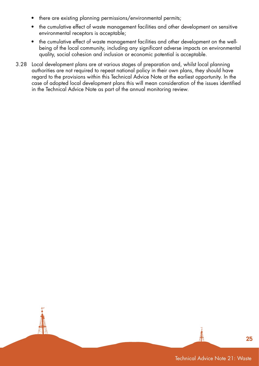- there are existing planning permissions/environmental permits;
- the cumulative effect of waste management facilities and other development on sensitive environmental receptors is acceptable;
- the cumulative effect of waste management facilities and other development on the wellbeing of the local community, including any significant adverse impacts on environmental quality, social cohesion and inclusion or economic potential is acceptable.
- 3.28 Local development plans are at various stages of preparation and, whilst local planning authorities are not required to repeat national policy in their own plans, they should have regard to the provisions within this Technical Advice Note at the earliest opportunity. In the case of adopted local development plans this will mean consideration of the issues identified in the Technical Advice Note as part of the annual monitoring review.

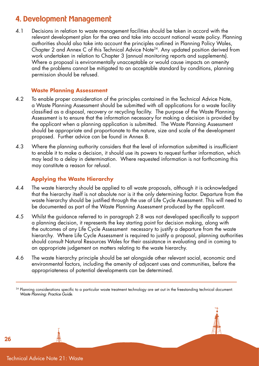## 4. Development Management

4.1 Decisions in relation to waste management facilities should be taken in accord with the relevant development plan for the area and take into account national waste policy. Planning authorities should also take into account the principles outlined in Planning Policy Wales, Chapter 2 and Annex C of this Technical Advice Note<sup>24</sup>. Any updated position derived from work undertaken in relation to Chapter 3 (annual monitoring reports and supplements). Where a proposal is environmentally unacceptable or would cause impacts on amenity and the problems cannot be mitigated to an acceptable standard by conditions, planning permission should be refused.

#### **Waste Planning Assessment**

- 4.2 To enable proper consideration of the principles contained in the Technical Advice Note, a Waste Planning Assessment should be submitted with all applications for a waste facility classified as a disposal, recovery or recycling facility. The purpose of the Waste Planning Assessment is to ensure that the information necessary for making a decision is provided by the applicant when a planning application is submitted. The Waste Planning Assessment should be appropriate and proportionate to the nature, size and scale of the development proposed. Further advice can be found in Annex B.
- 4.3 Where the planning authority considers that the level of information submitted is insufficient to enable it to make a decision, it should use its powers to request further information, which may lead to a delay in determination. Where requested information is not forthcoming this may constitute a reason for refusal.

#### **Applying the Waste Hierarchy**

- 4.4 The waste hierarchy should be applied to all waste proposals, although it is acknowledged that the hierarchy itself is not absolute nor is it the only determining factor. Departure from the waste hierarchy should be justified through the use of Life Cycle Assessment. This will need to be documented as part of the Waste Planning Assessment produced by the applicant.
- 4.5 Whilst the guidance referred to in paragraph 2.8 was not developed specifically to support a planning decision, it represents the key starting point for decision making, along with the outcomes of any Life Cycle Assessment necessary to justify a departure from the waste hierarchy. Where Life Cycle Assessment is required to justify a proposal, planning authorities should consult Natural Resources Wales for their assistance in evaluating and in coming to an appropriate judgement on matters relating to the waste hierarchy.
- 4.6 The waste hierarchy principle should be set alongside other relevant social, economic and environmental factors, including the amenity of adjacent uses and communities, before the appropriateness of potential developments can be determined.

<sup>&</sup>lt;sup>24</sup> Planning considerations specific to a particular waste treatment technology are set out in the freestanding technical document: *Waste Planning: Practice Guide*.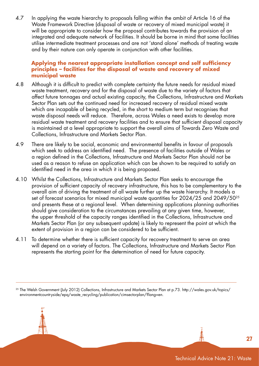4.7 In applying the waste hierarchy to proposals falling within the ambit of Article 16 of the Waste Framework Directive (disposal of waste or recovery of mixed municipal waste) it will be appropriate to consider how the proposal contributes towards the provision of an integrated and adequate network of facilities. It should be borne in mind that some facilities utilise intermediate treatment processes and are not 'stand alone' methods of treating waste and by their nature can only operate in conjunction with other facilities.

#### **Applying the nearest appropriate installation concept and self sufficiency principles – facilities for the disposal of waste and recovery of mixed municipal waste**

- 4.8 Although it is difficult to predict with complete certainty the future needs for residual mixed waste treatment, recovery and for the disposal of waste due to the variety of factors that affect future tonnages and actual existing capacity, the Collections, Infrastructure and Markets Sector Plan sets out the continued need for increased recovery of residual mixed waste which are incapable of being recycled, in the short to medium term but recognises that waste disposal needs will reduce. Therefore, across Wales a need exists to develop more residual waste treatment and recovery facilities and to ensure that sufficient disposal capacity is maintained at a level appropriate to support the overall aims of Towards Zero Waste and Collections, Infrastructure and Markets Sector Plan.
- 4.9 There are likely to be social, economic and environmental benefits in favour of proposals which seek to address an identified need. The presence of facilities outside of Wales or a region defined in the Collections, Infrastructure and Markets Sector Plan should not be used as a reason to refuse an application which can be shown to be required to satisfy an identified need in the area in which it is being proposed.
- 4.10 Whilst the Collections, Infrastructure and Markets Sector Plan seeks to encourage the provision of sufficient capacity of recovery infrastructure, this has to be complementary to the overall aim of driving the treatment of all waste further up the waste hierarchy. It models a set of forecast scenarios for mixed municipal waste quantities for 2024/25 and 2049/5025 and presents these at a regional level. When determining applications planning authorities should give consideration to the circumstances prevailing at any given time, however, the upper threshold of the capacity ranges identified in the Collections, Infrastructure and Markets Sector Plan (or any subsequent update) is likely to represent the point at which the extent of provision in a region can be considered to be sufficient.
- 4.11 To determine whether there is sufficient capacity for recovery treatment to serve an area will depend on a variety of factors. The Collections, Infrastructure and Markets Sector Plan represents the starting point for the determination of need for future capacity.

<sup>25</sup> The Welsh Government (July 2012) Collections, Infrastructure and Markets Sector Plan at p.73. http://wales.gov.uk/topics/ environmentcountryside/epq/waste\_recycling/publication/cimsectorplan/?lang=en.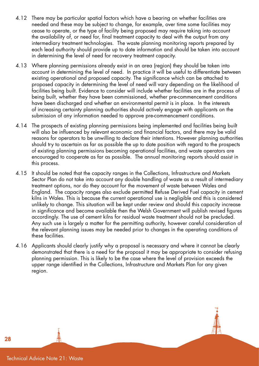- 4.12 There may be particular spatial factors which have a bearing on whether facilities are needed and these may be subject to change, for example, over time some facilities may cease to operate, or the type of facility being proposed may require taking into account the availability of, or need for, final treatment capacity to deal with the output from any intermediary treatment technologies. The waste planning monitoring reports prepared by each lead authority should provide up to date information and should be taken into account in determining the level of need for recovery treatment capacity.
- 4.13 Where planning permissions already exist in an area (region) they should be taken into account in determining the level of need. In practice it will be useful to differentiate between existing operational and proposed capacity. The significance which can be attached to proposed capacity in determining the level of need will vary depending on the likelihood of facilities being built. Evidence to consider will include whether facilities are in the process of being built, whether they have been commissioned, whether pre-commencement conditions have been discharged and whether an environmental permit is in place. In the interests of increasing certainty planning authorities should actively engage with applicants on the submission of any information needed to approve pre-commencement conditions.
- 4.14 The prospects of existing planning permissions being implemented and facilities being built will also be influenced by relevant economic and financial factors, and there may be valid reasons for operators to be unwilling to declare their intentions. However planning authorities should try to ascertain as far as possible the up to date position with regard to the prospects of existing planning permissions becoming operational facilities, and waste operators are encouraged to cooperate as far as possible. The annual monitoring reports should assist in this process.
- 4.15 It should be noted that the capacity ranges in the Collections, Infrastructure and Markets Sector Plan do not take into account any double handling of waste as a result of intermediary treatment options, nor do they account for the movement of waste between Wales and England. The capacity ranges also exclude permitted Refuse Derived Fuel capacity in cement kilns in Wales. This is because the current operational use is negligible and this is considered unlikely to change. This situation will be kept under review and should this capacity increase in significance and become available then the Welsh Government will publish revised figures accordingly. The use of cement kilns for residual waste treatment should not be precluded. Any such use is largely a matter for the permitting authority, however careful consideration of the relevant planning issues may be needed prior to changes in the operating conditions of these facilities.
- 4.16 Applicants should clearly justify why a proposal is necessary and where it cannot be clearly demonstrated that there is a need for the proposal it may be appropriate to consider refusing planning permission. This is likely to be the case where the level of provision exceeds the upper range identified in the Collections, Infrastructure and Markets Plan for any given region.

Technical Advice Note 21: Waste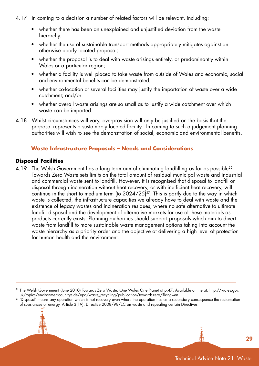- 4.17 In coming to a decision a number of related factors will be relevant, including:
	- whether there has been an unexplained and unjustified deviation from the waste hierarchy;
	- whether the use of sustainable transport methods appropriately mitigates against an otherwise poorly located proposal;
	- whether the proposal is to deal with waste arisings entirely, or predominantly within Wales or a particular region;
	- whether a facility is well placed to take waste from outside of Wales and economic, social and environmental benefits can be demonstrated;
	- whether co-location of several facilities may justify the importation of waste over a wide catchment; and/or
	- whether overall waste arisings are so small as to justify a wide catchment over which waste can be imported.
- 4.18 Whilst circumstances will vary, overprovision will only be justified on the basis that the proposal represents a sustainably located facility. In coming to such a judgement planning authorities will wish to see the demonstration of social, economic and environmental benefits.

#### **Waste Infrastructure Proposals – Needs and Considerations**

#### **Disposal Facilities**

4.19 The Welsh Government has a long term aim of eliminating landfilling as far as possible<sup>26</sup>. Towards Zero Waste sets limits on the total amount of residual municipal waste and industrial and commercial waste sent to landfill. However, it is recognised that disposal to landfill or disposal through incineration without heat recovery, or with inefficient heat recovery, will continue in the short to medium term (to  $2024/25$ )<sup>27</sup>. This is partly due to the way in which waste is collected, the infrastructure capacities we already have to deal with waste and the existence of legacy wastes and incineration residues, where no safe alternative to ultimate landfill disposal and the development of alternative markets for use of these materials as products currently exists. Planning authorities should support proposals which aim to divert waste from landfill to more sustainable waste management options taking into account the waste hierarchy as a priority order and the objective of delivering a high level of protection for human health and the environment.

<sup>&</sup>lt;sup>26</sup> The Welsh Government (June 2010) Towards Zero Waste: One Wales One Planet at p.47. Available online at: http://wales.gov.<br>uk/topics/environmentcountryside/epg/waste\_recycling/publication/towardszero/?lang=en

<sup>&</sup>lt;sup>27</sup> 'Disposal' means any operation which is not recovery even where the operation has as a secondary consequence the reclamation of substances or energy. Article 3(19), Directive 2008/98/EC on waste and repealing certain Directives.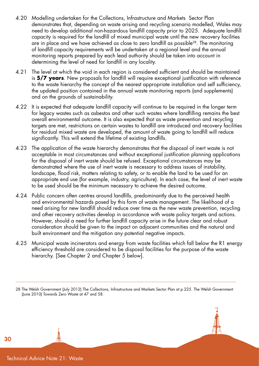- 4.20 Modelling undertaken for the Collections, Infrastructure and Markets Sector Plan demonstrates that, depending on waste arising and recycling scenario modelled, Wales may need to develop additional non-hazardous landfill capacity prior to 2025. Adequate landfill capacity is required for the landfill of mixed municipal waste until the new recovery facilities are in place and we have achieved as close to zero landfill as possible<sup>28</sup>. The monitoring of landfill capacity requirements will be undertaken at a regional level and the annual monitoring reports prepared by each lead authority should be taken into account in determining the level of need for landfill in any locality.
- 4.21 The level at which the void in each region is considered sufficient and should be maintained is **5/7 years**. New proposals for landfill will require exceptional justification with reference to the waste hierarchy the concept of the nearest appropriate installation and self sufficiency, the updated position contained in the annual waste monitoring reports (and supplements) and on the grounds of sustainability.
- 4.22 It is expected that adequate landfill capacity will continue to be required in the longer term for legacy wastes such as asbestos and other such wastes where landfilling remains the best overall environmental outcome. It is also expected that as waste prevention and recycling targets are met, restrictions on certain wastes to landfill are introduced and recovery facilities for residual mixed waste are developed, the amount of waste going to landfill will reduce significantly. This will extend the lifetime of existing landfills.
- 4.23 The application of the waste hierarchy demonstrates that the disposal of inert waste is not acceptable in most circumstances and without exceptional justification planning applications for the disposal of inert waste should be refused. Exceptional circumstances may be demonstrated where the use of inert waste is necessary to address issues of instability, landscape, flood risk, matters relating to safety, or to enable the land to be used for an appropriate end use (for example, industry, agriculture). In each case, the level of inert waste to be used should be the minimum necessary to achieve the desired outcome.
- 4.24 Public concern often centres around landfills, predominantly due to the perceived health and environmental hazards posed by this form of waste management. The likelihood of a need arising for new landfill should reduce over time as the new waste prevention, recycling and other recovery activities develop in accordance with waste policy targets and actions. However, should a need for further landfill capacity arise in the future clear and robust consideration should be given to the impact on adjacent communities and the natural and built environment and the mitigation any potential negative impacts.
- 4.25 Municipal waste incinerators and energy from waste facilities which fall below the R1 energy efficiency threshold are considered to be disposal facilities for the purpose of the waste hierarchy. [See Chapter 2 and Chapter 5 below].

28 The Welsh Government (July 2012) The Collections, Infrastructure and Markets Sector Plan at p.225. The Welsh Government (June 2010) Towards Zero Waste at 47 and 58.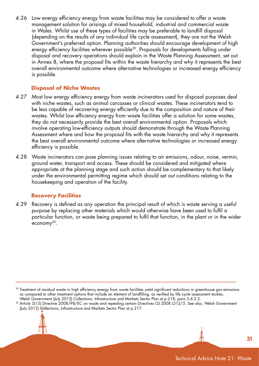4.26 Low energy efficiency energy from waste facilities may be considered to offer a waste management solution for arisings of mixed household, industrial and commercial waste in Wales. Whilst use of these types of facilities may be preferable to landfill disposal (depending on the results of any individual life cycle assessment), they are not the Welsh Government's preferred option. Planning authorities should encourage development of high energy efficiency facilities wherever possible<sup>29</sup>. Proposals for developments falling under disposal and recovery operations should explain in the Waste Planning Assessment, set out in Annex B, where the proposal fits within the waste hierarchy and why it represents the best overall environmental outcome where alternative technologies or increased energy efficiency is possible.

#### **Disposal of Niche Wastes**

- 4.27 Most low energy efficiency energy from waste incinerators used for disposal purposes deal with niche wastes, such as animal carcasses or clinical wastes. These incinerators tend to be less capable of recovering energy efficiently due to the composition and nature of their wastes. Whilst low efficiency energy from waste facilities offer a solution for some wastes, they do not necessarily provide the best overall environmental option. Proposals which involve operating low-efficiency outputs should demonstrate through the Waste Planning Assessment where and how the proposal fits with the waste hierarchy and why it represents the best overall environmental outcome where alternative technologies or increased energy efficiency is possible.
- 4.28 Waste incinerators can pose planning issues relating to air emissions, odour, noise, vermin, ground water, transport and access. These should be considered and mitigated where appropriate at the planning stage and such action should be complementary to that likely under the environmental permitting regime which should set out conditions relating to the housekeeping and operation of the facility.

#### **Recovery Facilities**

4.29 Recovery is defined as any operation the principal result of which is waste serving a useful purpose by replacing other materials which would otherwise have been used to fulfil a particular function, or waste being prepared to fulfil that function, in the plant or in the wider economy30.

<sup>&</sup>lt;sup>29</sup> Treatment of residual waste in high efficiency energy from waste facilities yield significant reductions in greenhouse gas emissions as compared to other treatment options that include an element of landfilling, as verified by life cycle assessment studies. Welsh Government (July 2012) Collections, Infrastructure and Markets Sector Plan at p.218, para 3.6.2.2.

<sup>30</sup> Article 3(15) Directive 2008/98/EC on waste and repealing certain Directives OJ 2008 L312/3. See also, Welsh Government (July 2012) Gollections, Infrastructure and Markets Sector Plan at p.217.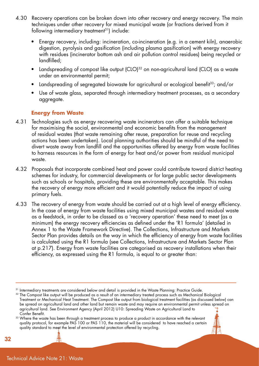- 4.30 Recovery operations can be broken down into other recovery and energy recovery. The main techniques under other recovery for mixed municipal waste (or fractions derived from it following intermediary treatment<sup>31</sup>) include:
	- Energy recovery, including: incineration, co-incineration (e.g. in a cement kiln), anaerobic digestion, pyrolysis and gasification (including plasma gasification) with energy recovery with residues (incinerator bottom ash and air pollution control residues) being recycled or landfilled;
	- Landspreading of compost like output (CLO)<sup>32</sup> on non-agricultural land (CLO) as a waste under an environmental permit;
	- Landspreading of segregated biowaste for agricultural or ecological benefit<sup>33</sup>; and/or
	- Use of waste glass, separated through intermediary treatment processes, as a secondary aggregate.

#### **Energy from Waste**

- 4.31 Technologies such as energy recovering waste incinerators can offer a suitable technique for maximising the social, environmental and economic benefits from the management of residual wastes (that waste remaining after reuse, preparation for reuse and recycling actions has been undertaken). Local planning authorities should be mindful of the need to divert waste away from landfill and the opportunities offered by energy from waste facilities to harness resources in the form of energy for heat and/or power from residual municipal waste.
- 4.32 Proposals that incorporate combined heat and power could contribute toward district heating schemes for industry, for commercial developments or for large public sector developments such as schools or hospitals, providing these are environmentally acceptable. This makes the recovery of energy more efficient and it would potentially reduce the impact of using primary fuels.
- 4.33 The recovery of energy from waste should be carried out at a high level of energy efficiency. In the case of energy from waste facilities using mixed municipal wastes and residual waste as a feedstock, in order to be classed as a 'recovery operation' these need to meet (as a minimum) the energy recovery efficiencies as defined under the 'R1 formula' (detailed in Annex 1 to the Waste Framework Directive). The Collections, Infrastructure and Markets Sector Plan provides details on the way in which the efficiency of energy from waste facilities is calculated using the R1 formula (see Collections, Infrastructure and Markets Sector Plan at p.217). Energy from waste facilities are categorised as recovery installations when their efficiency, as expressed using the R1 formula, is equal to or greater than:

<sup>33</sup> Where the waste has been through a treatment process to produce a product in accordance with the relevant quality protocol, for example PAS 100 or PAS 110, the material will be considered to have reached a certain quality standard to meet the level of environmental protection offered by recycling.



<sup>31</sup> Intermediary treatments are considered below and detail is provided in the Waste Planning: Practice Guide.

<sup>&</sup>lt;sup>32</sup> The Compost like output will be produced as a result of an intermediary treated process such as Mechanical Biological Treatment or Mechanical Heat Treatment. The Compost like output from biological treatment facilities (as discussed below) can be spread on agricultural land and other land but remain waste and may require an environmental permit unless spread on agricultural land. See Environment Agency (April 2012) U10: Spreading Waste on Agricultural Land to Confer Benefit.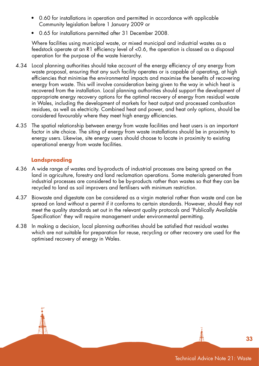- 0.60 for installations in operation and permitted in accordance with applicable Community legislation before 1 January 2009 or
- 0.65 for installations permitted after 31 December 2008.

 Where facilities using municipal waste, or mixed municipal and industrial wastes as a feedstock operate at an R1 efficiency level of <0.6, the operation is classed as a disposal operation for the purpose of the waste hierarchy.

- 4.34 Local planning authorities should take account of the energy efficiency of any energy from waste proposal, ensuring that any such facility operates or is capable of operating, at high efficiencies that minimise the environmental impacts and maximise the benefits of recovering energy from waste. This will involve consideration being given to the way in which heat is recovered from the installation. Local planning authorities should support the development of appropriate energy recovery options for the optimal recovery of energy from residual waste in Wales, including the development of markets for heat output and processed combustion residues, as well as electricity. Combined heat and power, and heat only options, should be considered favourably where they meet high energy efficiencies.
- 4.35 The spatial relationship between energy from waste facilities and heat users is an important factor in site choice. The siting of energy from waste installations should be in proximity to energy users. Likewise, site energy users should choose to locate in proximity to existing operational energy from waste facilities.

#### **Landspreading**

- 4.36 A wide range of wastes and by-products of industrial processes are being spread on the land in agriculture, forestry and land reclamation operations. Some materials generated from industrial processes are considered to be by-products rather than wastes so that they can be recycled to land as soil improvers and fertilisers with minimum restriction.
- 4.37 Biowaste and digestate can be considered as a virgin material rather than waste and can be spread on land without a permit if it conforms to certain standards. However, should they not meet the quality standards set out in the relevant quality protocols and 'Publically Available Specification' they will require management under environmental permitting.
- 4.38 In making a decision, local planning authorities should be satisfied that residual wastes which are not suitable for preparation for reuse, recycling or other recovery are used for the optimised recovery of energy in Wales.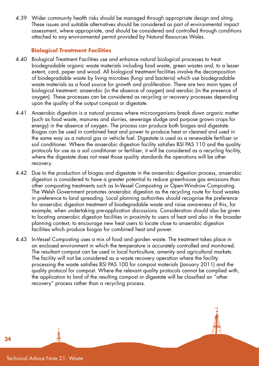4.39 Wider community health risks should be managed through appropriate design and siting. These issues and suitable alternatives should be considered as part of environmental impact assessment, where appropriate, and should be considered and controlled through conditions attached to any environmental permit provided by Natural Resources Wales.

#### **Biological Treatment Facilities**

- 4.40 Biological Treatment Facilities use and enhance natural biological processes to treat biodegradable organic waste materials including food waste, green wastes and, to a lesser extent, card, paper and wood. All biological treatment facilities involve the decomposition of biodegradable waste by living microbes (fungi and bacteria) which use biodegradable waste materials as a food source for growth and proliferation. There are two main types of biological treatment: anaerobic (in the absence of oxygen) and aerobic (in the presence of oxygen). These processes can be considered as recycling or recovery processes depending upon the quality of the output compost or digestate.
- 4.41 Anaerobic digestion is a natural process where microorganisms break down organic matter (such as food waste, manures and slurries, sewerage sludge and purpose grown crops for energy) in the absence of oxygen. The process can produce both biogas and digestate. Biogas can be used in combined heat and power to produce heat or cleaned and used in the same way as a natural gas or vehicle fuel. Digestate is used as a renewable fertiliser or soil conditioner. Where the anaerobic digestion facility satisfies BSI PAS 110 and the quality protocols for use as a soil conditioner or fertiliser, it will be considered as a recycling facility, where the digestate does not meet those quality standards the operations will be other recovery.
- 4.42 Due to the production of biogas and digestate in the anaerobic digestion process, anaerobic digestion is considered to have a greater potential to reduce greenhouse gas emissions than other composting treatments such as In-Vessel Composting or Open-Windrow Composting. The Welsh Government promotes anaerobic digestion as the recycling route for food wastes in preference to land spreading. Local planning authorities should recognise the preference for anaerobic digestion treatment of biodegradable waste and raise awareness of this, for example, when undertaking pre-application discussions. Consideration should also be given to locating anaerobic digestion facilities in proximity to users of heat and also in the broader planning context, to encourage new heat users to locate close to anaerobic digestion facilities which produce biogas for combined heat and power.
- 4.43 In-Vessel Composting uses a mix of food and garden waste. The treatment takes place in an enclosed environment in which the temperature is accurately controlled and monitored. The resultant compost can be used in local horticulture, amenity and agricultural markets. The facility will not be considered as a waste recovery operation where the facility processing the waste satisfies BSI PAS 100 for compost materials (January 2011) and the quality protocol for compost. Where the relevant quality protocols cannot be complied with, the application to land of the resulting compost or digestate will be classified an "other recovery" process rather than a recycling process.

Technical Advice Note 21: Waste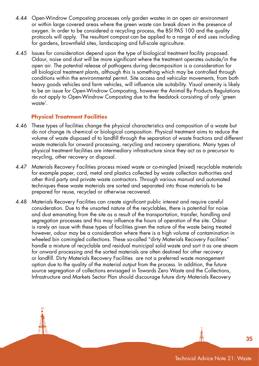- 4.44 Open-Windrow Composting processes only garden wastes in an open air environment or within large covered areas where the green waste can break down in the presence of oxygen. In order to be considered a recycling process, the BSI PAS 100 and the quality protocols will apply. The resultant compost can be applied to a range of end uses including for gardens, brownfield sites, landscaping and full-scale agriculture.
- 4.45 Issues for consideration depend upon the type of biological treatment facility proposed. Odour, noise and dust will be more significant where the treatment operates outside/in the open air. The potential release of pathogens during decomposition is a consideration for all biological treatment plants, although this is something which may be controlled through conditions within the environmental permit. Site access and vehicular movements, from both heavy goods vehicles and farm vehicles, will influence site suitability. Visual amenity is likely to be an issue for Open-Windrow Composting, however the Animal By Products Regulations do not apply to Open-Windrow Composting due to the feedstock consisting of only 'green waste'.

#### **Physical Treatment Facilities**

- 4.46 These types of facilities change the physical characteristics and composition of a waste but do not change its chemical or biological composition. Physical treatment aims to reduce the volume of waste disposed of to landfill through the separation of waste fractions and different waste materials for onward processing, recycling and recovery operations. Many types of physical treatment facilities are intermediary infrastructure since they act as a precursor to recycling, other recovery or disposal.
- 4.47 Materials Recovery Facilities process mixed waste or co-mingled (mixed) recyclable materials for example paper, card, metal and plastics collected by waste collection authorities and other third party and private waste contractors. Through various manual and automated techniques these waste materials are sorted and separated into those materials to be prepared for reuse, recycled or otherwise recovered.
- 4.48 Materials Recovery Facilities can create significant public interest and require careful consideration. Due to the unsorted nature of the recyclables, there is potential for noise and dust emanating from the site as a result of the transportation, transfer, handling and segregation processes and this may influence the hours of operation of the site. Odour is rarely an issue with these types of facilities given the nature of the waste being treated however, odour may be a consideration where there is a high volume of contamination in wheeled bin comingled collections. These so-called "dirty Materials Recovery Facilities" handle a mixture of recyclable and residual municipal solid waste and sort it as one stream for onward processing and the sorted materials are often destined for other recovery or landfill. Dirty Materials Recovery Facilities are not a preferred waste management option due to the quality of the material output from the process. In addition, the future source segregation of collections envisaged in Towards Zero Waste and the Collections, Infrastructure and Markets Sector Plan should discourage future dirty Materials Recovery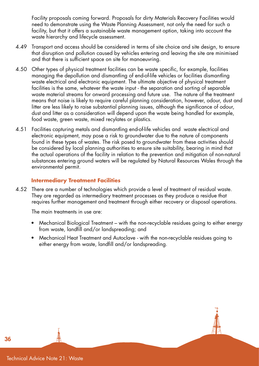Facility proposals coming forward. Proposals for dirty Materials Recovery Facilities would need to demonstrate using the Waste Planning Assessment, not only the need for such a facility, but that it offers a sustainable waste management option, taking into account the waste hierarchy and lifecycle assessment.

- 4.49 Transport and access should be considered in terms of site choice and site design, to ensure that disruption and pollution caused by vehicles entering and leaving the site are minimised and that there is sufficient space on site for manoeuvring.
- 4.50 Other types of physical treatment facilities can be waste specific, for example, facilities managing the depollution and dismantling of end-of-life vehicles or facilities dismantling waste electrical and electronic equipment. The ultimate objective of physical treatment facilities is the same, whatever the waste input - the separation and sorting of separable waste material streams for onward processing and future use. The nature of the treatment means that noise is likely to require careful planning consideration, however, odour, dust and litter are less likely to raise substantial planning issues, although the significance of odour, dust and litter as a consideration will depend upon the waste being handled for example, food waste, green waste, mixed recylates or plastics.
- 4.51 Facilities capturing metals and dismantling end-of-life vehicles and waste electrical and electronic equipment, may pose a risk to groundwater due to the nature of components found in these types of wastes. The risk posed to groundwater from these activities should be considered by local planning authorities to ensure site suitability, bearing in mind that the actual operations of the facility in relation to the prevention and mitigation of non-natural substances entering ground waters will be regulated by Natural Resources Wales through the environmental permit.

#### **Intermediary Treatment Facilities**

4.52 There are a number of technologies which provide a level of treatment of residual waste. They are regarded as intermediary treatment processes as they produce a residue that requires further management and treatment through either recovery or disposal operations.

The main treatments in use are:

- Mechanical Biological Treatment with the non-recyclable residues going to either energy from waste, landfill and/or landspreading; and
- Mechanical Heat Treatment and Autoclave with the non-recyclable residues going to either energy from waste, landfill and/or landspreading.



Technical Advice Note 21: Waste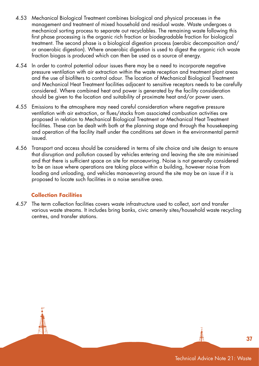- 4.53 Mechanical Biological Treatment combines biological and physical processes in the management and treatment of mixed household and residual waste. Waste undergoes a mechanical sorting process to separate out recyclables. The remaining waste following this first phase processing is the organic rich fraction or biodegradable fraction for biological treatment. The second phase is a biological digestion process (aerobic decomposition and/ or anaerobic digestion). Where anaerobic digestion is used to digest the organic rich waste fraction biogas is produced which can then be used as a source of energy.
- 4.54 In order to control potential odour issues there may be a need to incorporate negative pressure ventilation with air extraction within the waste reception and treatment plant areas and the use of biofilters to control odour. The location of Mechanical Biological Treatment and Mechanical Heat Treatment facilities adjacent to sensitive receptors needs to be carefully considered. Where combined heat and power is generated by the facility consideration should be given to the location and suitability of proximate heat and/or power users.
- 4.55 Emissions to the atmosphere may need careful consideration where negative pressure ventilation with air extraction, or flues/stacks from associated combustion activities are proposed in relation to Mechanical Biological Treatment or Mechanical Heat Treatment facilities. These can be dealt with both at the planning stage and through the housekeeping and operation of the facility itself under the conditions set down in the environmental permit issued.
- 4.56 Transport and access should be considered in terms of site choice and site design to ensure that disruption and pollution caused by vehicles entering and leaving the site are minimised and that there is sufficient space on site for manoeuvring. Noise is not generally considered to be an issue where operations are taking place within a building, however noise from loading and unloading, and vehicles manoeuvring around the site may be an issue if it is proposed to locate such facilities in a noise sensitive area.

#### **Collection Facilities**

4.57 The term collection facilities covers waste infrastructure used to collect, sort and transfer various waste streams. It includes bring banks, civic amenity sites/household waste recycling centres, and transfer stations.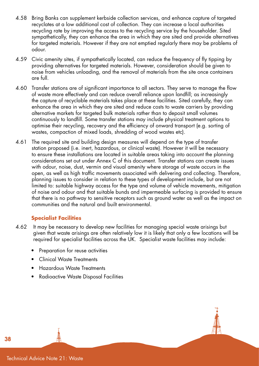- 4.58 Bring Banks can supplement kerbside collection services, and enhance capture of targeted recyclates at a low additional cost of collection. They can increase a local authorities recycling rate by improving the access to the recycling service by the householder. Sited sympathetically, they can enhance the area in which they are sited and provide alternatives for targeted materials. However if they are not emptied regularly there may be problems of odour.
- 4.59 Civic amenity sites, if sympathetically located, can reduce the frequency of fly tipping by providing alternatives for targeted materials. However, consideration should be given to noise from vehicles unloading, and the removal of materials from the site once containers are full.
- 4.60 Transfer stations are of significant importance to all sectors. They serve to manage the flow of waste more effectively and can reduce overall reliance upon landfill; as increasingly the capture of recyclable materials takes place at these facilities. Sited carefully, they can enhance the area in which they are sited and reduce costs to waste carriers by providing alternative markets for targeted bulk materials rather than to deposit small volumes continuously to landfill. Some transfer stations may include physical treatment options to optimise their recycling, recovery and the efficiency of onward transport (e.g. sorting of wastes, compaction of mixed loads, shredding of wood wastes etc).
- 4.61 The required site and building design measures will depend on the type of transfer station proposed (i.e. inert, hazardous, or clinical waste). However it will be necessary to ensure these installations are located in suitable areas taking into account the planning considerations set out under Annex C of this document. Transfer stations can create issues with odour, noise, dust, vermin and visual amenity where storage of waste occurs in the open, as well as high traffic movements associated with delivering and collecting. Therefore, planning issues to consider in relation to these types of development include, but are not limited to: suitable highway access for the type and volume of vehicle movements, mitigation of noise and odour and that suitable bunds and impermeable surfacing is provided to ensure that there is no pathway to sensitive receptors such as ground water as well as the impact on communities and the natural and built environmental.

#### **Specialist Facilities**

- 4.62 It may be necessary to develop new facilities for managing special waste arisings but given that waste arisings are often relatively low it is likely that only a few locations will be required for specialist facilities across the UK. Specialist waste facilities may include:
	- Preparation for reuse activities
	- Clinical Waste Treatments
	- Hazardous Waste Treatments
	- Radioactive Waste Disposal Facilities

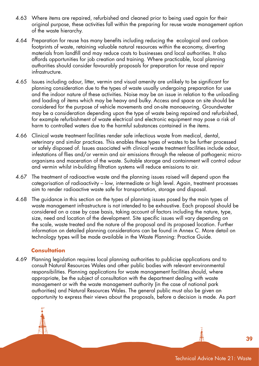- 4.63 Where items are repaired, refurbished and cleaned prior to being used again for their original purpose, these activities fall within the preparing for reuse waste management option of the waste hierarchy.
- 4.64 Preparation for reuse has many benefits including reducing the ecological and carbon footprints of waste, retaining valuable natural resources within the economy, diverting materials from landfill and may reduce costs to businesses and local authorities. It also affords opportunities for job creation and training. Where practicable, local planning authorities should consider favourably proposals for preparation for reuse and repair infrastructure.
- 4.65 Issues including odour, litter, vermin and visual amenity are unlikely to be significant for planning consideration due to the types of waste usually undergoing preparation for use and the indoor nature of these activities. Noise may be an issue in relation to the unloading and loading of items which may be heavy and bulky. Access and space on site should be considered for the purpose of vehicle movements and on-site manoeuvring. Groundwater may be a consideration depending upon the type of waste being repaired and refurbished, for example refurbishment of waste electrical and electronic equipment may pose a risk of harm to controlled waters due to the harmful substances contained in the items.
- 4.66 Clinical waste treatment facilities render safe infectious waste from medical, dental, veterinary and similar practices. This enables these types of wastes to be further processed or safely disposed of. Issues associated with clinical waste treatment facilities include odour, infestations of flies and/or vermin and air emissions through the release of pathogenic microorganisms and maceration of the waste. Suitable storage and containment will control odour and vermin whilst in-building filtration systems will reduce emissions to air.
- 4.67 The treatment of radioactive waste and the planning issues raised will depend upon the categorisation of radioactivity – low, intermediate or high level. Again, treatment processes aim to render radioactive waste safe for transportation, storage and disposal.
- 4.68 The guidance in this section on the types of planning issues posed by the main types of waste management infrastructure is not intended to be exhaustive. Each proposal should be considered on a case by case basis, taking account of factors including the nature, type, size, need and location of the development. Site specific issues will vary depending on the scale, waste treated and the nature of the proposal and its proposed location. Further information on detailed planning considerations can be found in Annex C. More detail on technology types will be made available in the Waste Planning: Practice Guide.

#### **Consultation**

4.69 Planning legislation requires local planning authorities to publicise applications and to consult Natural Resources Wales and other public bodies with relevant environmental responsibilities. Planning applications for waste management facilities should, where appropriate, be the subject of consultation with the department dealing with waste management or with the waste management authority (in the case of national park authorities) and Natural Resources Wales. The general public must also be given an opportunity to express their views about the proposals, before a decision is made. As part

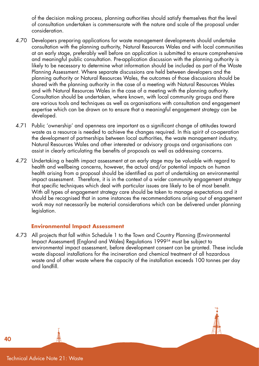of the decision making process, planning authorities should satisfy themselves that the level of consultation undertaken is commensurate with the nature and scale of the proposal under consideration.

- 4.70 Developers preparing applications for waste management developments should undertake consultation with the planning authority, Natural Resources Wales and with local communities at an early stage, preferably well before an application is submitted to ensure comprehensive and meaningful public consultation. Pre-application discussion with the planning authority is likely to be necessary to determine what information should be included as part of the Waste Planning Assessment. Where separate discussions are held between developers and the planning authority or Natural Resources Wales, the outcomes of those discussions should be shared with the planning authority in the case of a meeting with Natural Resources Wales and with Natural Resources Wales in the case of a meeting with the planning authority. Consultation should be undertaken, where known, with local community groups and there are various tools and techniques as well as organisations with consultation and engagement expertise which can be drawn on to ensure that a meaningful engagement strategy can be developed.
- 4.71 Public 'ownership' and openness are important as a significant change of attitudes toward waste as a resource is needed to achieve the changes required. In this spirit of co-operation the development of partnerships between local authorities, the waste management industry, Natural Resources Wales and other interested or advisory groups and organisations can assist in clearly articulating the benefits of proposals as well as addressing concerns.
- 4.72 Undertaking a health impact assessment at an early stage may be valuable with regard to health and wellbeing concerns, however, the actual and/or potential impacts on human health arising from a proposal should be identified as part of undertaking an environmental impact assessment. Therefore, it is in the context of a wider community engagement strategy that specific techniques which deal with particular issues are likely to be of most benefit. With all types of engagement strategy care should be taken to manage expectations and it should be recognised that in some instances the recommendations arising out of engagement work may not necessarily be material considerations which can be delivered under planning legislation.

#### **Environmental Impact Assessment**

4.73 All projects that fall within Schedule 1 to the Town and Country Planning (Environmental Impact Assessment) (England and Wales) Regulations 199934 must be subject to environmental impact assessment, before development consent can be granted. These include waste disposal installations for the incineration and chemical treatment of all hazardous waste and of other waste where the capacity of the installation exceeds 100 tonnes per day and landfill.

Technical Advice Note 21: Waste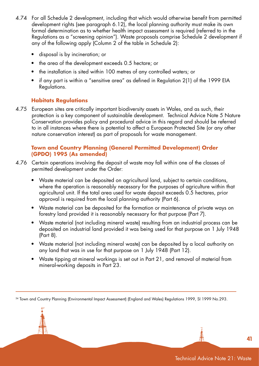- 4.74 For all Schedule 2 development, including that which would otherwise benefit from permitted development rights (see paragraph 6.12), the local planning authority must make its own formal determination as to whether health impact assessment is required (referred to in the Regulations as a "screening opinion"). Waste proposals comprise Schedule 2 development if any of the following apply (Column 2 of the table in Schedule 2):
	- disposal is by incineration; or
	- the area of the development exceeds 0.5 hectare; or
	- the installation is sited within 100 metres of any controlled waters; or
	- if any part is within a "sensitive area" as defined in Regulation 2(1) of the 1999 EIA Regulations.

#### **Habitats Regulations**

4.75 European sites are critically important biodiversity assets in Wales, and as such, their protection is a key component of sustainable development. Technical Advice Note 5 Nature Conservation provides policy and procedural advice in this regard and should be referred to in all instances where there is potential to affect a European Protected Site (or any other nature conservation interest) as part of proposals for waste management.

#### **Town and Country Planning (General Permitted Development) Order (GPDO) 1995 (As amended)**

- 4.76 Certain operations involving the deposit of waste may fall within one of the classes of permitted development under the Order:
	- Waste material can be deposited on agricultural land, subject to certain conditions, where the operation is reasonably necessary for the purposes of agriculture within that agricultural unit. If the total area used for waste deposit exceeds 0.5 hectares, prior approval is required from the local planning authority (Part 6).
	- Waste material can be deposited for the formation or maintenance of private ways on forestry land provided it is reasonably necessary for that purpose (Part 7).
	- Waste material (not including mineral waste) resulting from an industrial process can be deposited on industrial land provided it was being used for that purpose on 1 July 1948 (Part 8).
	- Waste material (not including mineral waste) can be deposited by a local authority on any land that was in use for that purpose on 1 July 1948 (Part 12).
	- Waste tipping at mineral workings is set out in Part 21, and removal of material from mineral-working deposits in Part 23.

34 Town and Country Planning (Environmental Impact Assessment) (England and Wales) Regulations 1999, SI 1999 No.293.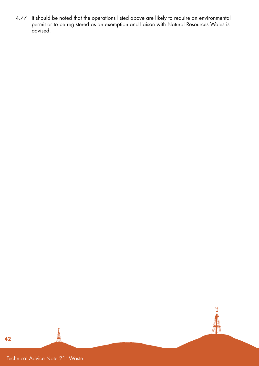4.77 It should be noted that the operations listed above are likely to require an environmental permit or to be registered as an exemption and liaison with Natural Resources Wales is advised.



Technical Advice Note 21: Waste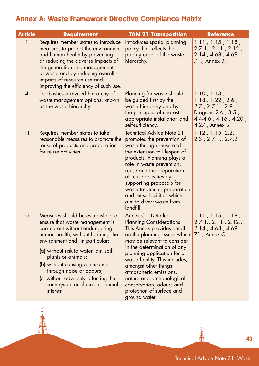## Annex A: Waste Framework Directive Compliance Matrix

| <b>Article</b> | <b>Requirement</b>                                                                                                                                                                                                                                                                                                                                                                                   | <b>TAN 21 Transposition</b>                                                                                                                                                                                                                                                                                                                                                                                 | <b>Reference</b>                                                                                                                |
|----------------|------------------------------------------------------------------------------------------------------------------------------------------------------------------------------------------------------------------------------------------------------------------------------------------------------------------------------------------------------------------------------------------------------|-------------------------------------------------------------------------------------------------------------------------------------------------------------------------------------------------------------------------------------------------------------------------------------------------------------------------------------------------------------------------------------------------------------|---------------------------------------------------------------------------------------------------------------------------------|
|                | Requires member states to introduce<br>measures to protect the environment<br>and human health by preventing<br>or reducing the adverse impacts of<br>the generation and management<br>of waste and by reducing overall<br>impacts of resource use and<br>improving the efficiency of such use.                                                                                                      | Introduces spatial planning<br>policy that reflects the<br>priority order of the waste<br>hierarchy.                                                                                                                                                                                                                                                                                                        | 1.11., 1.15., 1.18.,<br>2.7.1., 2.11., 2.12.,<br>2.14., 4.68., 4.69-<br>71., Annex B.                                           |
| $\overline{4}$ | Establishes a revised hierarchy of<br>waste management options, known<br>as the waste hierarchy.                                                                                                                                                                                                                                                                                                     | Planning for waste should<br>be guided first by the<br>waste hierarchy and by<br>the principles of nearest<br>appropriate installation and<br>self-sufficiency.                                                                                                                                                                                                                                             | 1.10., 1.13.,<br>1.18, 1.22, 2.6,<br>2.7., 2.7.1., 2.9.,<br>Diagram 2.6., 3.5.,<br>$4.4-4.6., 4.16., 4.20.,$<br>4.27., Annex B. |
| 11             | Requires member states to take<br>reasonable measures to promote the<br>reuse of products and preparation<br>for reuse activities.                                                                                                                                                                                                                                                                   | <b>Technical Advice Note 21</b><br>promotes the prevention of<br>waste through reuse and<br>the extension to lifespan of<br>products. Planning plays a<br>role in waste prevention,<br>reuse and the preparation<br>of reuse activities by<br>supporting proposals for<br>waste treatment, preparation<br>and reuse facilities which<br>aim to divert waste from<br>landfill.                               | 1.12., 1.15. 2.2.,<br>2.3., 2.7.1., 2.7.2.                                                                                      |
| 13             | Measures should be established to<br>ensure that waste management is<br>carried out without endangering<br>human health, without harming the<br>environment and, in particular:<br>(a) without risk to water, air, soil,<br>plants or animals;<br>(b) without causing a nuisance<br>through noise or odours;<br>(c) without adversely affecting the<br>countryside or places of special<br>interest. | Annex C - Detailed<br><b>Planning Considerations.</b><br>This Annex provides detail<br>on the planning issues which<br>may be relevant to consider<br>in the determination of any<br>planning application for a<br>waste facility. This includes,<br>amongst other things:<br>atmospheric emissions,<br>nature and archaeological<br>conservation, odours and<br>protection of surface and<br>ground water. | 1.11., 1.15., 1.18.,<br>2.7.1., 2.11., 2.12.,<br>2.14., 4.68., 4.69-<br>71., Annex C.                                           |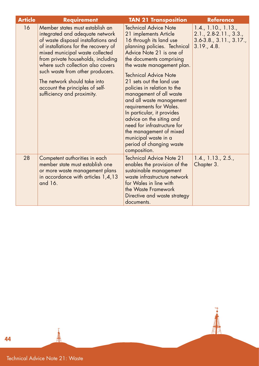| <b>Article</b> | <b>Requirement</b>                                                                                                                                                                                                                                                                                                                                                                                   | <b>TAN 21 Transposition</b>                                                                                                                                                                                                                                                                                                                                                                                                                                                                                                                                          | <b>Reference</b>                                                                                     |
|----------------|------------------------------------------------------------------------------------------------------------------------------------------------------------------------------------------------------------------------------------------------------------------------------------------------------------------------------------------------------------------------------------------------------|----------------------------------------------------------------------------------------------------------------------------------------------------------------------------------------------------------------------------------------------------------------------------------------------------------------------------------------------------------------------------------------------------------------------------------------------------------------------------------------------------------------------------------------------------------------------|------------------------------------------------------------------------------------------------------|
| 16             | Member states must establish an<br>integrated and adequate network<br>of waste disposal installations and<br>of installations for the recovery of<br>mixed municipal waste collected<br>from private households, including<br>where such collection also covers<br>such waste from other producers.<br>The network should take into<br>account the principles of self-<br>sufficiency and proximity. | <b>Technical Advice Note</b><br>21 implements Article<br>16 through its land use<br>planning policies. Technical<br>Advice Note 21 is one of<br>the documents comprising<br>the waste management plan.<br>Technical Advice Note<br>21 sets out the land use<br>policies in relation to the<br>management of all waste<br>and all waste management<br>requirements for Wales.<br>In particular, it provides<br>advice on the siting and<br>need for infrastructure for<br>the management of mixed<br>municipal waste in a<br>period of changing waste<br>composition. | 1.4., 1.10., 1.13.,<br>$2.1., 2.8-2.11., 3.3.,$<br>$3.6 - 3.8$ ., $3.11$ ., $3.17$ .,<br>3.19., 4.8. |
| 28             | Competent authorities in each<br>member state must establish one<br>or more waste management plans<br>in accordance with articles 1,4,13<br>and 16.                                                                                                                                                                                                                                                  | <b>Technical Advice Note 21</b><br>enables the provision of the<br>sustainable management<br>waste infrastructure network<br>for Wales in line with<br>the Waste Framework<br>Directive and waste strategy<br>documents.                                                                                                                                                                                                                                                                                                                                             | 1.4., 1.13., 2.5.,<br>Chapter 3.                                                                     |

 $\overline{\phantom{a}}$ 

**AN** 

Technical Advice Note 21: Waste

三个时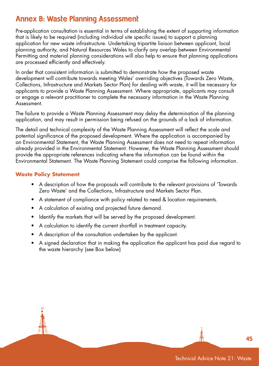## Annex B: Waste Planning Assessment

Pre-application consultation is essential in terms of establishing the extent of supporting information that is likely to be required (including individual site specific issues) to support a planning application for new waste infrastructure. Undertaking tripartite liaison between applicant, local planning authority, and Natural Resources Wales to clarify any overlap between Environmental Permitting and material planning considerations will also help to ensure that planning applications are processed efficiently and effectively.

In order that consistent information is submitted to demonstrate how the proposed waste development will contribute towards meeting Wales' overriding objectives (Towards Zero Waste, Collections, Infrastructure and Markets Sector Plan) for dealing with waste, it will be necessary for applicants to provide a Waste Planning Assessment. Where appropriate, applicants may consult or engage a relevant practitioner to complete the necessary information in the Waste Planning Assessment.

The failure to provide a Waste Planning Assessment may delay the determination of the planning application, and may result in permission being refused on the grounds of a lack of information.

The detail and technical complexity of the Waste Planning Assessment will reflect the scale and potential significance of the proposed development. Where the application is accompanied by an Environmental Statement, the Waste Planning Assessment does not need to repeat information already provided in the Environmental Statement. However, the Waste Planning Assessment should provide the appropriate references indicating where the information can be found within the Environmental Statement. The Waste Planning Statement could comprise the following information.

#### **Waste Policy Statement**

- A description of how the proposals will contribute to the relevant provisions of 'Towards Zero Waste' and the Collections, Infrastructure and Markets Sector Plan.
- A statement of compliance with policy related to need & location requirements.
- A calculation of existing and projected future demand.
- Identify the markets that will be served by the proposed development.
- A calculation to identify the current shortfall in treatment capacity.
- A description of the consultation undertaken by the applicant.
- A signed declaration that in making the application the applicant has paid due regard to the waste hierarchy (see Box below)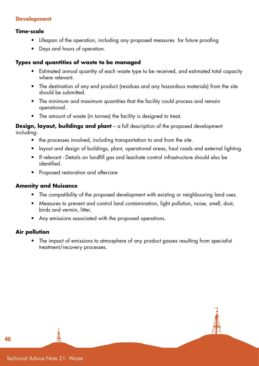#### **Development**

#### **Time-scale**

- Lifespan of the operation, including any proposed measures for future proofing
- Days and hours of operation.

#### **Types and quantities of waste to be managed**

- Estimated annual quantity of each waste type to be received, and estimated total capacity where relevant.
- The destination of any end product (residues and any hazardous materials) from the site should be submitted.
- The minimum and maximum quantities that the facility could process and remain operational.
- The amount of waste (in tonnes) the facility is designed to treat.

**Design, layout, buildings and plant** – a full description of the proposed development including:

- the processes involved, including transportation to and from the site.
- layout and design of buildings, plant, operational areas, haul roads and external lighting.
- If relevant Details on landfill gas and leachate control infrastructure should also be identified.
- Proposed restoration and aftercare

#### **Amenity and Nuisance**

- The compatibility of the proposed development with existing or neighbouring land uses.
- Measures to prevent and control land contamination, light pollution, noise, smell, dust, birds and vermin, litter,
- Any emissions associated with the proposed operations.

#### **Air pollution**

• The impact of emissions to atmosphere of any product gasses resulting from specialist treatment/recovery processes.



Technical Advice Note 21: Waste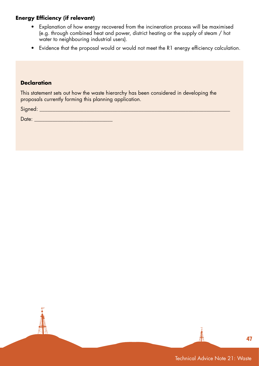#### **Energy Efficiency (if relevant)**

- Explanation of how energy recovered from the incineration process will be maximised (e.g. through combined heat and power, district heating or the supply of steam / hot water to neighbouring industrial users).
- Evidence that the proposal would or would not meet the R1 energy efficiency calculation.

#### **Declaration**

This statement sets out how the waste hierarchy has been considered in developing the proposals currently forming this planning application.

Signed: \_\_\_\_\_\_\_\_\_\_\_\_\_\_\_\_\_\_\_\_\_\_\_\_\_\_\_\_\_\_\_\_\_\_\_\_\_\_\_\_\_\_\_\_\_\_\_\_\_\_\_\_\_\_\_\_\_\_\_\_\_\_\_\_\_\_\_\_\_\_\_\_\_

Date: \_\_\_\_\_\_\_\_\_\_\_\_\_\_\_\_\_\_\_\_\_\_\_\_\_\_\_\_\_\_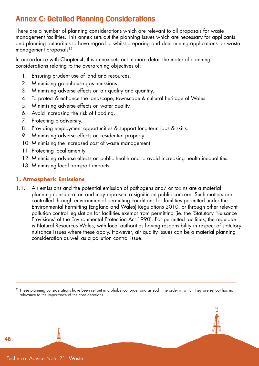## Annex C: Detailed Planning Considerations

There are a number of planning considerations which are relevant to all proposals for waste management facilities. This annex sets out the planning issues which are necessary for applicants and planning authorities to have regard to whilst preparing and determining applications for waste management proposals<sup>35</sup>.

In accordance with Chapter 4, this annex sets out in more detail the material planning considerations relating to the overarching objectives of:

- 1. Ensuring prudent use of land and resources.
- 2. Minimising greenhouse gas emissions.
- 3. Minimising adverse effects on air quality and quantity.
- 4. To protect & enhance the landscape, townscape & cultural heritage of Wales.
- 5. Minimising adverse effects on water quality.
- 6. Avoid increasing the risk of flooding.
- 7. Protecting biodiversity.
- 8. Providing employment opportunities & support long-term jobs & skills.
- 9. Minimising adverse effects on residential property.
- 10. Minimising the increased cost of waste management.
- 11. Protecting local amenity.
- 12. Minimising adverse effects on public health and to avoid increasing health inequalities.
- 13. Minimising local transport impacts.

#### **1. Atmospheric Emissions**

1.1. Air emissions and the potential emission of pathogens and/ or toxins are a material planning consideration and may represent a significant public concern. Such matters are controlled through environmental permitting conditions for facilities permitted under the Environmental Permitting (England and Wales) Regulations 2010, or through other relevant pollution control legislation for facilities exempt from permitting (ie. the 'Statutory Nuisance Provisions' of the Environmental Protection Act 1990). For permitted facilities, the regulator is Natural Resources Wales, with local authorities having responsibility in respect of statutory nuisance issues where these apply. However, air quality issues can be a material planning consideration as well as a pollution control issue.

<sup>35</sup> These planning considerations have been set out in alphabetical order and as such, the order in which they are set out has no relevance to the importance of the considerations.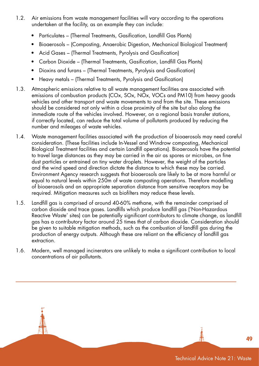- 1.2. Air emissions from waste management facilities will vary according to the operations undertaken at the facility, as an example they can include:
	- Particulates (Thermal Treatments, Gasification, Landfill Gas Plants)
	- Bioaerosols (Composting, Anaerobic Digestion, Mechanical Biological Treatment)
	- Acid Gases (Thermal Treatments, Pyrolysis and Gasification)
	- Carbon Dioxide (Thermal Treatments, Gasification, Landfill Gas Plants)
	- Dioxins and furans (Thermal Treatments, Pyrolysis and Gasification)
	- Heavy metals (Thermal Treatments, Pyrolysis and Gasification)
- 1.3. Atmospheric emissions relative to all waste management facilities are associated with emissions of combustion products (COx, SOx, NOx, VOCs and PM10) from heavy goods vehicles and other transport and waste movements to and from the site. These emissions should be considered not only within a close proximity of the site but also along the immediate route of the vehicles involved. However, on a regional basis transfer stations, if correctly located, can reduce the total volume of pollutants produced by reducing the number and mileages of waste vehicles.
- 1.4. Waste management facilities associated with the production of bioaerosols may need careful consideration. (These facilities include In-Vessel and Windrow composting, Mechanical Biological Treatment facilities and certain Landfill operations). Bioaerosols have the potential to travel large distances as they may be carried in the air as spores or microbes, on fine dust particles or entrained on tiny water droplets. However, the weight of the particles and the wind speed and direction dictate the distance to which these may be carried. Environment Agency research suggests that bioaerosols are likely to be at more harmful or equal to natural levels within 250m of waste composting operations. Therefore modelling of bioaerosols and an appropriate separation distance from sensitive receptors may be required. Mitigation measures such as biofilters may reduce these levels.
- 1.5. Landfill gas is comprised of around 40-60% methane, with the remainder comprised of carbon dioxide and trace gases. Landfills which produce landfill gas ('Non-Hazardous Reactive Waste' sites) can be potentially significant contributors to climate change, as landfill gas has a contributory factor around 25 times that of carbon dioxide. Consideration should be given to suitable mitigation methods, such as the combustion of landfill gas during the production of energy outputs. Although these are reliant on the efficiency of landfill gas extraction.
- 1.6. Modern, well managed incinerators are unlikely to make a significant contribution to local concentrations of air pollutants.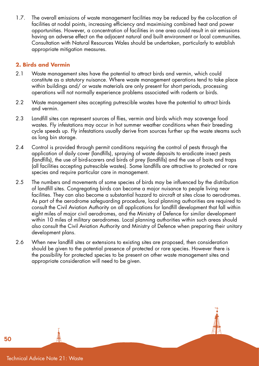1.7. The overall emissions of waste management facilities may be reduced by the co-location of facilities at nodal points, increasing efficiency and maximising combined heat and power opportunities. However, a concentration of facilities in one area could result in air emissions having an adverse effect on the adjacent natural and built environment or local communities. Consultation with Natural Resources Wales should be undertaken, particularly to establish appropriate mitigation measures.

#### **2. Birds and Vermin**

- 2.1 Waste management sites have the potential to attract birds and vermin, which could constitute as a statutory nuisance. Where waste management operations tend to take place within buildings and/ or waste materials are only present for short periods, processing operations will not normally experience problems associated with rodents or birds.
- 2.2 Waste management sites accepting putrescible wastes have the potential to attract birds and vermin.
- 2.3 Landfill sites can represent sources of flies, vermin and birds which may scavenge food wastes. Fly infestations may occur in hot summer weather conditions when their breeding cycle speeds up. Fly infestations usually derive from sources further up the waste steams such as long bin storage.
- 2.4 Control is provided through permit conditions requiring the control of pests through the application of daily cover (landfills), spraying of waste deposits to eradicate insect pests (landfills), the use of bird-scarers and birds of prey (landfills) and the use of baits and traps (all facilities accepting putrescible wastes). Some landfills are attractive to protected or rare species and require particular care in management.
- 2.5 The numbers and movements of some species of birds may be influenced by the distribution of landfill sites. Congregating birds can become a major nuisance to people living near facilities. They can also become a substantial hazard to aircraft at sites close to aerodromes. As part of the aerodrome safeguarding procedure, local planning authorities are required to consult the Civil Aviation Authority on all applications for landfill development that fall within eight miles of major civil aerodromes, and the Ministry of Defence for similar development within 10 miles of military aerodromes. Local planning authorities within such areas should also consult the Civil Aviation Authority and Ministry of Defence when preparing their unitary development plans.
- 2.6 When new landfill sites or extensions to existing sites are proposed, then consideration should be given to the potential presence of protected or rare species. However there is the possibility for protected species to be present on other waste management sites and appropriate consideration will need to be given.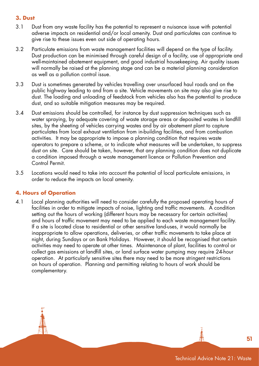#### **3. Dust**

- 3.1 Dust from any waste facility has the potential to represent a nuisance issue with potential adverse impacts on residential and/or local amenity. Dust and particulates can continue to give rise to these issues even out side of operating hours.
- 3.2 Particulate emissions from waste management facilities will depend on the type of facility. Dust production can be minimised through careful design of a facility, use of appropriate and well-maintained abatement equipment, and good industrial housekeeping. Air quality issues will normally be raised at the planning stage and can be a material planning consideration as well as a pollution control issue.
- 3.3 Dust is sometimes generated by vehicles travelling over unsurfaced haul roads and on the public highway leading to and from a site. Vehicle movements on site may also give rise to dust. The loading and unloading of feedstock from vehicles also has the potential to produce dust, and so suitable mitigation measures may be required.
- 3.4 Dust emissions should be controlled, for instance by dust suppression techniques such as water spraying, by adequate covering of waste storage areas or deposited wastes in landfill sites, by the sheeting of vehicles carrying wastes and by air abatement plant to capture particulates from local exhaust ventilation from in-building facilities, and from combustion activities. It may be appropriate to impose a planning condition that requires waste operators to prepare a scheme, or to indicate what measures will be undertaken, to suppress dust on site. Care should be taken, however, that any planning condition does not duplicate a condition imposed through a waste management licence or Pollution Prevention and Control Permit.
- 3.5 Locations would need to take into account the potential of local particulate emissions, in order to reduce the impacts on local amenity.

#### **4. Hours of Operation**

4.1 Local planning authorities will need to consider carefully the proposed operating hours of facilities in order to mitigate impacts of noise, lighting and traffic movements. A condition setting out the hours of working (different hours may be necessary for certain activities) and hours of traffic movement may need to be applied to each waste management facility. If a site is located close to residential or other sensitive land-uses, it would normally be inappropriate to allow operations, deliveries, or other traffic movements to take place at night, during Sundays or on Bank Holidays. However, it should be recognised that certain activities may need to operate at other times. Maintenance of plant, facilities to control or collect gas emissions at landfill sites, or land surface water pumping may require 24-hour operation. At particularly sensitive sites there may need to be more stringent restrictions on hours of operation. Planning and permitting relating to hours of work should be complementary.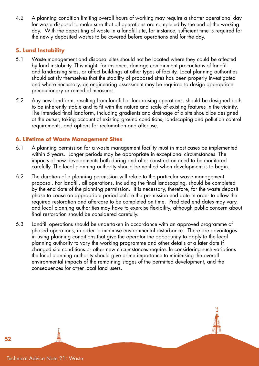4.2 A planning condition limiting overall hours of working may require a shorter operational day for waste disposal to make sure that all operations are completed by the end of the working day. With the depositing of waste in a landfill site, for instance, sufficient time is required for the newly deposited wastes to be covered before operations end for the day.

#### **5. Land Instability**

- 5.1 Waste management and disposal sites should not be located where they could be affected by land instability. This might, for instance, damage containment precautions of landfill and landraising sites, or affect buildings at other types of facility. Local planning authorities should satisfy themselves that the stability of proposed sites has been properly investigated and where necessary, an engineering assessment may be required to design appropriate precautionary or remedial measures.
- 5.2 Any new landform, resulting from landfill or landraising operations, should be designed both to be inherently stable and to fit with the nature and scale of existing features in the vicinity. The intended final landform, including gradients and drainage of a site should be designed at the outset, taking account of existing ground conditions, landscaping and pollution control requirements, and options for reclamation and after-use.

#### **6. Lifetime of Waste Management Sites**

- 6.1 A planning permission for a waste management facility must in most cases be implemented within 5 years. Longer periods may be appropriate in exceptional circumstances. The impacts of new developments both during and after construction need to be monitored carefully. The local planning authority should be notified when development is to begin.
- 6.2 The duration of a planning permission will relate to the particular waste management proposal. For landfill, all operations, including the final landscaping, should be completed by the end date of the planning permission. It is necessary, therefore, for the waste deposit phase to cease an appropriate period before the permission end date in order to allow the required restoration and aftercare to be completed on time. Predicted end dates may vary, and local planning authorities may have to exercise flexibility, although public concern about final restoration should be considered carefully.
- 6.3 Landfill operations should be undertaken in accordance with an approved programme of phased operations, in order to minimise environmental disturbance. There are advantages in using planning conditions that give the operator the opportunity to apply to the local planning authority to vary the working programme and other details at a later date if changed site conditions or other new circumstances require. In considering such variations the local planning authority should give prime importance to minimising the overall environmental impacts of the remaining stages of the permitted development, and the consequences for other local land users.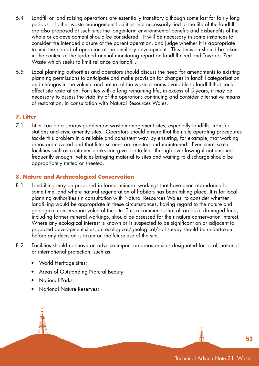- 6.4 Landfill or land raising operations are essentially transitory although some last for fairly long periods. If other waste management facilities, not necessarily tied to the life of the landfill, are also proposed at such sites the longer-term environmental benefits and disbenefits of the whole or co-development should be considered. It will be necessary in some instances to consider the intended closure of the parent operation, and judge whether it is appropriate to limit the period of operation of the ancillary development. This decision should be taken in the context of the updated annual monitoring report on landfill need and Towards Zero Waste which seeks to limit reliance on landfill.
- 6.5 Local planning authorities and operators should discuss the need for amendments to existing planning permissions to anticipate and make provision for changes in landfill categorisation and changes in the volume and nature of the waste streams available to landfill that could affect site restoration. For sites with a long remaining life, in excess of 5 years, it may be necessary to assess the viability of the operations continuing and consider alternative means of restoration, in consultation with Natural Resources Wales.

#### **7. Litter**

7.1 Litter can be a serious problem on waste management sites, especially landfills, transfer stations and civic amenity sites. Operators should ensure that their site operating procedures tackle this problem in a reliable and consistent way, by ensuring, for example, that working areas are covered and that litter screens are erected and maintained. Even small-scale facilities such as container banks can give rise to litter through overflowing if not emptied frequently enough. Vehicles bringing material to sites and waiting to discharge should be appropriately netted or sheeted.

#### **8. Nature and Archaeological Conservation**

- 8.1 Landfilling may be proposed in former mineral workings that have been abandoned for some time, and where natural regeneration of habitats has been taking place. It is for local planning authorities (in consultation with Natural Resources Wales) to consider whether landfilling would be appropriate in these circumstances, having regard to the nature and geological conservation value of the site. This recommends that all areas of damaged land, including former mineral workings, should be assessed for their nature conservation interest. Where any ecological interest is known or is suspected to be significant on or adjacent to proposed development sites, an ecological/geological/soil survey should be undertaken before any decision is taken on the future use of the site.
- 8.2 Facilities should not have an adverse impact on areas or sites designated for local, national or international protection, such as:
	- World Heritage sites;
	- Areas of Outstanding Natural Beauty;
	- National Parks;
	- National Nature Reserves: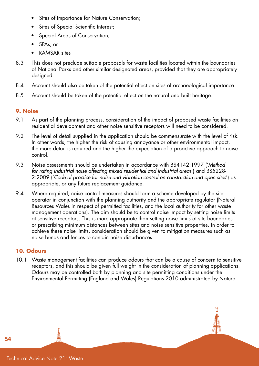- Sites of Importance for Nature Conservation;
- Sites of Special Scientific Interest;
- Special Areas of Conservation;
- SPAs; or
- RAMSAR sites
- 8.3 This does not preclude suitable proposals for waste facilities located within the boundaries of National Parks and other similar designated areas, provided that they are appropriately desianed.
- 8.4 Account should also be taken of the potential effect on sites of archaeological importance.
- 8.5 Account should be taken of the potential effect on the natural and built heritage.

#### **9. Noise**

- 9.1 As part of the planning process, consideration of the impact of proposed waste facilities on residential development and other noise sensitive receptors will need to be considered.
- 9.2 The level of detail supplied in the application should be commensurate with the level of risk. In other words, the higher the risk of causing annoyance or other environmental impact, the more detail is required and the higher the expectation of a proactive approach to noise control.
- 9.3 Noise assessments should be undertaken in accordance with BS4142:1997 ('*Method*  for rating industrial noise affecting mixed residential and industrial areas') and BS5228-2:2009 ('*Code of practice for noise and vibration control on construction and open sites*') as appropriate, or any future replacement guidance.
- 9.4 Where required, noise control measures should form a scheme developed by the site operator in conjunction with the planning authority and the appropriate regulator (Natural Resources Wales in respect of permitted facilities, and the local authority for other waste management operations). The aim should be to control noise impact by setting noise limits at sensitive receptors. This is more appropriate than setting noise limits at site boundaries or prescribing minimum distances between sites and noise sensitive properties. In order to achieve these noise limits, consideration should be given to mitigation measures such as noise bunds and fences to contain noise disturbances.

#### **10. Odours**

10.1 Waste management facilities can produce odours that can be a cause of concern to sensitive receptors, and this should be given full weight in the consideration of planning applications. Odours may be controlled both by planning and site permitting conditions under the Environmental Permitting (England and Wales) Regulations 2010 administrated by Natural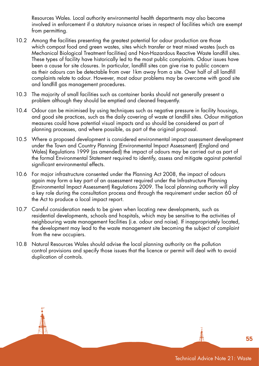Resources Wales. Local authority environmental health departments may also become involved in enforcement if a statutory nuisance arises in respect of facilities which are exempt from permitting.

- 10.2 Among the facilities presenting the greatest potential for odour production are those which compost food and green wastes, sites which transfer or treat mixed wastes (such as Mechanical Biological Treatment facilities) and Non-Hazardous Reactive Waste landfill sites. These types of facility have historically led to the most public complaints. Odour issues have been a cause for site closures. In particular, landfill sites can give rise to public concern as their odours can be detectable from over 1km away from a site. Over half of all landfill complaints relate to odour. However, most odour problems may be overcome with good site and landfill gas management procedures.
- 10.3 The majority of small facilities such as container banks should not generally present a problem although they should be emptied and cleaned frequently.
- 10.4 Odour can be minimised by using techniques such as negative pressure in facility housings, and good site practices, such as the daily covering of waste at landfill sites. Odour mitigation measures could have potential visual impacts and so should be considered as part of planning processes, and where possible, as part of the original proposal.
- 10.5 Where a proposed development is considered environmental impact assessment development under the Town and Country Planning (Environmental Impact Assessment) (England and Wales) Regulations 1999 (as amended) the impact of odours may be carried out as part of the formal Environmental Statement required to identify, assess and mitigate against potential significant environmental effects.
- 10.6 For major infrastructure consented under the Planning Act 2008, the impact of odours again may form a key part of an assessment required under the Infrastructure Planning (Environmental Impact Assessment) Regulations 2009. The local planning authority will play a key role during the consultation process and through the requirement under section 60 of the Act to produce a local impact report.
- 10.7 Careful consideration needs to be given when locating new developments, such as residential developments, schools and hospitals, which may be sensitive to the activities of neighbouring waste management facilities (i.e. odour and noise). If inappropriately located, the development may lead to the waste management site becoming the subject of complaint from the new occupiers.
- 10.8 Natural Resources Wales should advise the local planning authority on the pollution control provisions and specify those issues that the licence or permit will deal with to avoid duplication of controls.

Technical Advice Note 21: Waste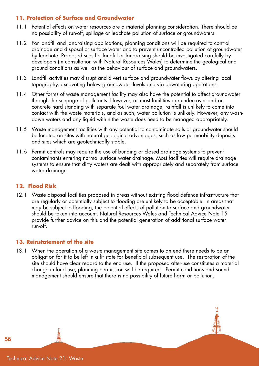#### **11. Protection of Surface and Groundwater**

- 11.1 Potential effects on water resources are a material planning consideration. There should be no possibility of run-off, spillage or leachate pollution of surface or groundwaters.
- 11.2 For landfill and landraising applications, planning conditions will be required to control drainage and disposal of surface water and to prevent uncontrolled pollution of groundwater by leachate. Proposed sites for landfill or landraising should be investigated carefully by developers (in consultation with Natural Resources Wales) to determine the geological and ground conditions as well as the behaviour of surface and groundwaters.
- 11.3 Landfill activities may disrupt and divert surface and groundwater flows by altering local topography, excavating below groundwater levels and via dewatering operations.
- 11.4 Other forms of waste management facility may also have the potential to affect groundwater through the seepage of pollutants. However, as most facilities are undercover and on concrete hard standing with separate foul water drainage, rainfall is unlikely to come into contact with the waste materials, and as such, water pollution is unlikely. However, any washdown waters and any liquid within the waste does need to be managed appropriately.
- 11.5 Waste management facilities with any potential to contaminate soils or groundwater should be located on sites with natural geological advantages, such as low permeability deposits and sites which are geotechnically stable.
- 11.6 Permit controls may require the use of bunding or closed drainage systems to prevent contaminants entering normal surface water drainage. Most facilities will require drainage systems to ensure that dirty waters are dealt with appropriately and separately from surface water drainage.

#### **12. Flood Risk**

12.1 Waste disposal facilities proposed in areas without existing flood defence infrastructure that are regularly or potentially subject to flooding are unlikely to be acceptable. In areas that may be subject to flooding, the potential effects of pollution to surface and groundwater should be taken into account. Natural Resources Wales and Technical Advice Note 15 provide further advice on this and the potential generation of additional surface water run-off.

#### **13. Reinstatement of the site**

13.1 When the operation of a waste management site comes to an end there needs to be an obligation for it to be left in a fit state for beneficial subsequent use. The restoration of the site should have clear regard to the end use. If the proposed after-use constitutes a material change in land use, planning permission will be required. Permit conditions and sound management should ensure that there is no possibility of future harm or pollution.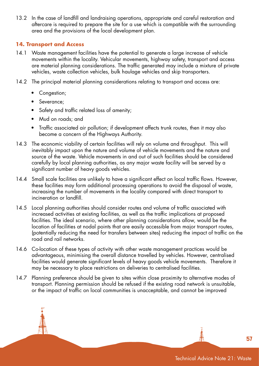13.2 In the case of landfill and landraising operations, appropriate and careful restoration and aftercare is required to prepare the site for a use which is compatible with the surrounding area and the provisions of the local development plan.

#### **14. Transport and Access**

- 14.1 Waste management facilities have the potential to generate a large increase of vehicle movements within the locality. Vehicular movements, highway safety, transport and access are material planning considerations. The traffic generated may include a mixture of private vehicles, waste collection vehicles, bulk haulage vehicles and skip transporters.
- 14.2 The principal material planning considerations relating to transport and access are:
	- Congestion;
	- Severance;
	- Safety and traffic related loss of amenity;
	- Mud on roads; and
	- Traffic associated air pollution; if development affects trunk routes, then it may also become a concern of the Highways Authority.
- 14.3 The economic viability of certain facilities will rely on volume and throughput. This will inevitably impact upon the nature and volume of vehicle movements and the nature and source of the waste. Vehicle movements in and out of such facilities should be considered carefully by local planning authorities, as any major waste facility will be served by a significant number of heavy goods vehicles.
- 14.4 Small scale facilities are unlikely to have a significant effect on local traffic flows. However, these facilities may form additional processing operations to avoid the disposal of waste, increasing the number of movements in the locality compared with direct transport to incineration or landfill.
- 14.5 Local planning authorities should consider routes and volume of traffic associated with increased activities at existing facilities, as well as the traffic implications at proposed facilities. The ideal scenario, where other planning considerations allow, would be the location of facilities at nodal points that are easily accessible from major transport routes, (potentially reducing the need for transfers between sites) reducing the impact of traffic on the road and rail networks.
- 14.6 Co-location of these types of activity with other waste management practices would be advantageous, minimising the overall distance travelled by vehicles. However, centralised facilities would generate significant levels of heavy goods vehicle movements. Therefore it may be necessary to place restrictions on deliveries to centralised facilities.
- 14.7 Planning preference should be given to sites within close proximity to alternative modes of transport. Planning permission should be refused if the existing road network is unsuitable, or the impact of traffic on local communities is unacceptable, and cannot be improved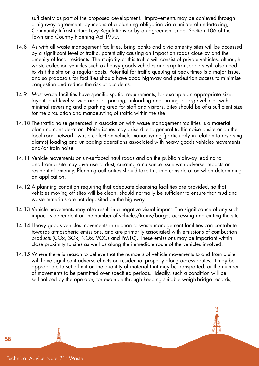sufficiently as part of the proposed development. Improvements may be achieved through a highway agreement, by means of a planning obligation via a unilateral undertaking, Community Infrastructure Levy Regulations or by an agreement under Section 106 of the Town and Country Planning Act 1990.

- 14.8 As with all waste management facilities, bring banks and civic amenity sites will be accessed by a significant level of traffic, potentially causing an impact on roads close by and the amenity of local residents. The majority of this traffic will consist of private vehicles, although waste collection vehicles such as heavy goods vehicles and skip transporters will also need to visit the site on a regular basis. Potential for traffic queuing at peak times is a major issue, and so proposals for facilities should have good highway and pedestrian access to minimise congestion and reduce the risk of accidents.
- 14.9 Most waste facilities have specific spatial requirements, for example an appropriate size, layout, and level service area for parking, unloading and turning of large vehicles with minimal reversing and a parking area for staff and visitors. Sites should be of a sufficient size for the circulation and manoeuvring of traffic within the site.
- 14.10 The traffic noise generated in association with waste management facilities is a material planning consideration. Noise issues may arise due to general traffic noise onsite or on the local road network, waste collection vehicle manoeuvring (particularly in relation to reversing alarms) loading and unloading operations associated with heavy goods vehicles movements and/or train noise.
- 14.11 Vehicle movements on un-surfaced haul roads and on the public highway leading to and from a site may give rise to dust, creating a nuisance issue with adverse impacts on residential amenity. Planning authorities should take this into consideration when determining an application.
- 14.12 A planning condition requiring that adequate cleansing facilities are provided, so that vehicles moving off sites will be clean, should normally be sufficient to ensure that mud and waste materials are not deposited on the highway.
- 14.13 Vehicle movements may also result in a negative visual impact. The significance of any such impact is dependent on the number of vehicles/trains/barges accessing and exiting the site.
- 14.14 Heavy goods vehicles movements in relation to waste management facilities can contribute towards atmospheric emissions, and are primarily associated with emissions of combustion products (COx, SOx, NOx, VOCs and PM10). These emissions may be important within close proximity to sites as well as along the immediate route of the vehicles involved.
- 14.15 Where there is reason to believe that the numbers of vehicle movements to and from a site will have significant adverse effects on residential property along access routes, it may be appropriate to set a limit on the quantity of material that may be transported, or the number of movements to be permitted over specified periods. Ideally, such a condition will be self-policed by the operator, for example through keeping suitable weigh-bridge records,

Technical Advice Note 21: Waste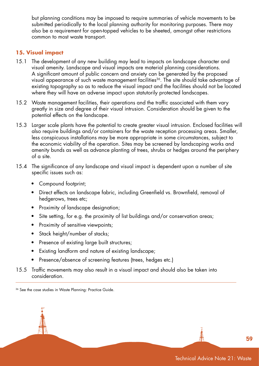but planning conditions may be imposed to require summaries of vehicle movements to be submitted periodically to the local planning authority for monitoring purposes. There may also be a requirement for open-topped vehicles to be sheeted, amongst other restrictions common to most waste transport.

#### **15. Visual impact**

- 15.1 The development of any new building may lead to impacts on landscape character and visual amenity. Landscape and visual impacts are material planning considerations. A significant amount of public concern and anxiety can be generated by the proposed visual appearance of such waste management facilities<sup>36</sup>. The site should take advantage of existing topography so as to reduce the visual impact and the facilities should not be located where they will have an adverse impact upon statutorily protected landscapes.
- 15.2 Waste management facilities, their operations and the traffic associated with them vary greatly in size and degree of their visual intrusion. Consideration should be given to the potential effects on the landscape.
- 15.3 Larger scale plants have the potential to create greater visual intrusion. Enclosed facilities will also require buildings and/or containers for the waste reception processing areas. Smaller, less conspicuous installations may be more appropriate in some circumstances, subject to the economic viability of the operation. Sites may be screened by landscaping works and amenity bunds as well as advance planting of trees, shrubs or hedges around the periphery of a site.
- 15.4 The significance of any landscape and visual impact is dependent upon a number of site specific issues such as:
	- Compound footprint;
	- Direct effects on landscape fabric, including Greenfield vs. Brownfield, removal of hedgerows, trees etc;
	- Proximity of landscape designation;
	- Site setting, for e.g. the proximity of list buildings and/or conservation areas;
	- Proximity of sensitive viewpoints;
	- Stack height/number of stacks;
	- Presence of existing large built structures;
	- Existing landform and nature of existing landscape;
	- Presence/absence of screening features (trees, hedges etc.)
- 15.5 Traffic movements may also result in a visual impact and should also be taken into consideration.

<sup>36</sup> See the case studies in Waste Planning: Practice Guide.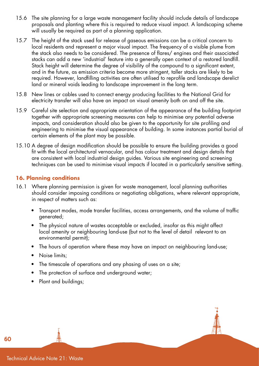- 15.6 The site planning for a large waste management facility should include details of landscape proposals and planting where this is required to reduce visual impact. A landscaping scheme will usually be required as part of a planning application.
- 15.7 The height of the stack used for release of gaseous emissions can be a critical concern to local residents and represent a major visual impact. The frequency of a visible plume from the stack also needs to be considered. The presence of flares/ engines and their associated stacks can add a new 'industrial' feature into a generally open context of a restored landfill. Stack height will determine the degree of visibility of the compound to a significant extent, and in the future, as emission criteria become more stringent, taller stacks are likely to be required. However, landfilling activities are often utilised to reprofile and landscape derelict land or mineral voids leading to landscape improvement in the long term.
- 15.8 New lines or cables used to connect energy producing facilities to the National Grid for electricity transfer will also have an impact on visual amenity both on and off the site.
- 15.9 Careful site selection and appropriate orientation of the appearance of the building footprint together with appropriate screening measures can help to minimise any potential adverse impacts, and consideration should also be given to the opportunity for site profiling and engineering to minimise the visual appearance of building. In some instances partial burial of certain elements of the plant may be possible.
- 15.10 A degree of design modification should be possible to ensure the building provides a good fit with the local architectural vernacular, and has colour treatment and design details that are consistent with local industrial design guides. Various site engineering and screening techniques can be used to minimise visual impacts if located in a particularly sensitive setting.

#### **16. Planning conditions**

- 16.1 Where planning permission is given for waste management, local planning authorities should consider imposing conditions or negotiating obligations, where relevant appropriate, in respect of matters such as:
	- Transport modes, mode transfer facilities, access arrangements, and the volume of traffic generated;
	- The physical nature of wastes acceptable or excluded, insofar as this might affect local amenity or neighbouring land-use (but not to the level of detail relevant to an environmental permit);
	- The hours of operation where these may have an impact on neighbouring land-use;
	- Noise limits:
	- The timescale of operations and any phasing of uses on a site;
	- The protection of surface and underground water;
	- Plant and buildings;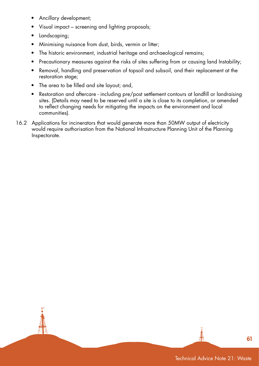- Ancillary development;
- Visual impact screening and lighting proposals;
- Landscaping;
- Minimising nuisance from dust, birds, vermin or litter;
- The historic environment, industrial heritage and archaeological remains;
- Precautionary measures against the risks of sites suffering from or causing land Instability;
- Removal, handling and preservation of topsoil and subsoil, and their replacement at the restoration stage;
- The area to be filled and site layout; and,
- Restoration and aftercare including pre/post settlement contours at landfill or landraising sites. (Details may need to be reserved until a site is close to its completion, or amended to reflect changing needs for mitigating the impacts on the environment and local communities).
- 16.2 Applications for incinerators that would generate more than 50MW output of electricity would require authorisation from the National Infrastructure Planning Unit of the Planning Inspectorate.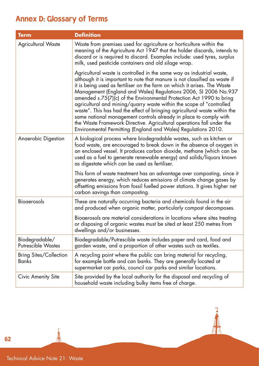# Annex D: Glossary of Terms

| <b>Term</b>                                 | <b>Definition</b>                                                                                                                                                                                                                                                                                                                                                                                                                                                                                                                                                                                                                                                                                                                               |
|---------------------------------------------|-------------------------------------------------------------------------------------------------------------------------------------------------------------------------------------------------------------------------------------------------------------------------------------------------------------------------------------------------------------------------------------------------------------------------------------------------------------------------------------------------------------------------------------------------------------------------------------------------------------------------------------------------------------------------------------------------------------------------------------------------|
| <b>Agricultural Waste</b>                   | Waste from premises used for agriculture or horticulture within the<br>meaning of the Agriculture Act 1947 that the holder discards, intends to<br>discard or is required to discard. Examples include: used tyres, surplus<br>milk, used pesticide containers and old silage wrap.                                                                                                                                                                                                                                                                                                                                                                                                                                                             |
|                                             | Agricultural waste is controlled in the same way as industrial waste,<br>although it is important to note that manure is not classified as waste if<br>it is being used as fertiliser on the farm on which it arises. The Waste<br>Management (England and Wales) Regulations 2006, SI 2006 No.937<br>amended s.75(7)(c) of the Environmental Protection Act 1990 to bring<br>agricultural and mining/quarry waste within the scope of "controlled<br>waste". This has had the effect of bringing agricultural waste within the<br>same national management controls already in place to comply with<br>the Waste Framework Directive. Agricultural operations fall under the<br>Environmental Permitting (England and Wales) Regulations 2010. |
| <b>Anaerobic Digestion</b>                  | A biological process where biodegradable wastes, such as kitchen or<br>food waste, are encouraged to break down in the absence of oxygen in<br>an enclosed vessel. It produces carbon dioxide, methane (which can be<br>used as a fuel to generate renewable energy) and solids/liquors known<br>as digestate which can be used as fertiliser.                                                                                                                                                                                                                                                                                                                                                                                                  |
|                                             | This form of waste treatment has an advantage over composting, since it<br>generates energy, which reduces emissions of climate change gases by<br>offsetting emissions from fossil fuelled power stations. It gives higher net<br>carbon savings than composting.                                                                                                                                                                                                                                                                                                                                                                                                                                                                              |
| <b>Biogerosols</b>                          | These are naturally occurring bacteria and chemicals found in the air<br>and produced when organic matter, particularly compost decomposes.                                                                                                                                                                                                                                                                                                                                                                                                                                                                                                                                                                                                     |
|                                             | Bioaerosols are material considerations in locations where sites treating<br>or disposing of organic wastes must be sited at least 250 metres from<br>dwellings and/or businesses.                                                                                                                                                                                                                                                                                                                                                                                                                                                                                                                                                              |
| Biodegradable/<br><b>Putrescible Wastes</b> | Biodegradable/Putrescible waste includes paper and card, food and<br>garden waste, and a proportion of other wastes such as textiles.                                                                                                                                                                                                                                                                                                                                                                                                                                                                                                                                                                                                           |
| <b>Bring Sites/Collection</b><br>Banks      | A recycling point where the public can bring material for recycling,<br>for example bottle and can banks. They are generally located at<br>supermarket car parks, council car parks and similar locations.                                                                                                                                                                                                                                                                                                                                                                                                                                                                                                                                      |
| Civic Amenity Site                          | Site provided by the local authority for the disposal and recycling of<br>household waste including bulky items free of charge.                                                                                                                                                                                                                                                                                                                                                                                                                                                                                                                                                                                                                 |

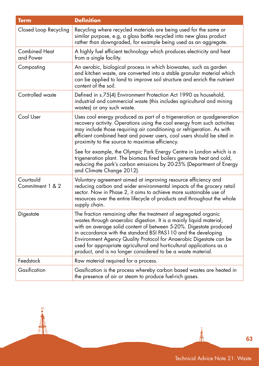| <b>Term</b>                       | <b>Definition</b>                                                                                                                                                                                                                                                                                                                                                                                                                                                                             |
|-----------------------------------|-----------------------------------------------------------------------------------------------------------------------------------------------------------------------------------------------------------------------------------------------------------------------------------------------------------------------------------------------------------------------------------------------------------------------------------------------------------------------------------------------|
| Closed Loop Recycling             | Recycling where recycled materials are being used for the same or<br>similar purpose, e.g, a glass bottle recycled into new glass product<br>rather than downgraded, for example being used as an aggregate.                                                                                                                                                                                                                                                                                  |
| <b>Combined Heat</b><br>and Power | A highly fuel efficient technology which produces electricity and heat<br>from a single facility.                                                                                                                                                                                                                                                                                                                                                                                             |
| Composting                        | An aerobic, biological process in which biowastes, such as garden<br>and kitchen waste, are converted into a stable granular material which<br>can be applied to land to improve soil structure and enrich the nutrient<br>content of the soil.                                                                                                                                                                                                                                               |
| Controlled waste                  | Defined in s.75(4) Environment Protection Act 1990 as household,<br>industrial and commercial waste (this includes agricultural and mining<br>wastes) or any such waste.                                                                                                                                                                                                                                                                                                                      |
| Cool User                         | Uses cool energy produced as part of a trigeneration or quadgeneration<br>recovery activity. Operations using the cool energy from such activities<br>may include those requiring air conditioning or refrigeration. As with<br>efficient combined heat and power users, cool users should be sited in<br>proximity to the source to maximise efficiency.                                                                                                                                     |
|                                   | See for example, the Olympic Park Energy Centre in London which is a<br>trigeneration plant. The biomass fired boilers generate heat and cold,<br>reducing the park's carbon emissions by 20-25% (Department of Energy<br>and Climate Change 2012).                                                                                                                                                                                                                                           |
| Courtauld<br>Commitment 1 & 2     | Voluntary agreement aimed at improving resource efficiency and<br>reducing carbon and wider environmental impacts of the grocery retail<br>sector. Now in Phase 2, it aims to achieve more sustainable use of<br>resources over the entire lifecycle of products and throughout the whole<br>supply chain.                                                                                                                                                                                    |
| Digestate                         | The fraction remaining after the treatment of segregated organic<br>wastes through anaerobic digestion. It is a mainly liquid material,<br>with an average solid content of between 5-20%. Digestate produced<br>in accordance with the standard BSI PAS110 and the developing<br>Environment Agency Quality Protocol for Anaerobic Digestate can be<br>used for appropriate agricultural and horticultural applications as a<br>product, and is no longer considered to be a waste material. |
| Feedstock                         | Raw material required for a process.                                                                                                                                                                                                                                                                                                                                                                                                                                                          |
| Gasification                      | Gasification is the process whereby carbon based wastes are heated in<br>the presence of air or steam to produce fuel-rich gases.                                                                                                                                                                                                                                                                                                                                                             |

闻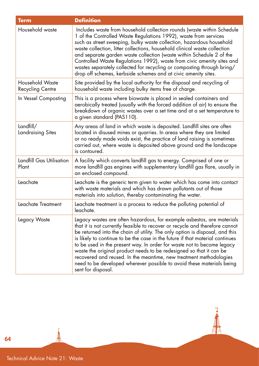| <b>Term</b>                                       | <b>Definition</b>                                                                                                                                                                                                                                                                                                                                                                                                                                                                                                                                                                                                                             |
|---------------------------------------------------|-----------------------------------------------------------------------------------------------------------------------------------------------------------------------------------------------------------------------------------------------------------------------------------------------------------------------------------------------------------------------------------------------------------------------------------------------------------------------------------------------------------------------------------------------------------------------------------------------------------------------------------------------|
| Household waste                                   | Includes waste from household collection rounds (waste within Schedule<br>1 of the Controlled Waste Regulations 1992), waste from services<br>such as street sweeping, bulky waste collection, hazardous household<br>waste collection, litter collections, household clinical waste collection<br>and separate garden waste collection (waste within Schedule 2 of the<br>Controlled Waste Regulations 1992), waste from civic amenity sites and<br>wastes separately collected for recycling or composting through bring/<br>drop off schemes, kerbside schemes and at civic amenity sites.                                                 |
| <b>Household Waste</b><br><b>Recycling Centre</b> | Site provided by the local authority for the disposal and recycling of<br>household waste including bulky items free of charge.                                                                                                                                                                                                                                                                                                                                                                                                                                                                                                               |
| In Vessel Composting                              | This is a process where biowaste is placed in sealed containers and<br>aerobically treated (usually with the forced addition of air) to ensure the<br>breakdown of organic wastes over a set time and at a set temperature to<br>a given standard (PAS110).                                                                                                                                                                                                                                                                                                                                                                                   |
| Landfill/<br>Landraising Sites                    | Any areas of land in which waste is deposited. Landfill sites are often<br>located in disused mines or quarries. In areas where they are limited<br>or no ready made voids exist, the practice of land raising is sometimes<br>carried out, where waste is deposited above ground and the landscape<br>is contoured.                                                                                                                                                                                                                                                                                                                          |
| Landfill Gas Utilisation<br>Plant                 | A facility which converts landfill gas to energy. Comprised of one or<br>more landfill gas engines with supplementary landfill gas flare, usually in<br>an enclosed compound.                                                                                                                                                                                                                                                                                                                                                                                                                                                                 |
| Leachate                                          | Leachate is the generic term given to water which has come into contact<br>with waste materials and which has drawn pollutants out of those<br>materials into solution, thereby contaminating the water.                                                                                                                                                                                                                                                                                                                                                                                                                                      |
| Leachate Treatment                                | Leachate treatment is a process to reduce the polluting potential of<br>leachate.                                                                                                                                                                                                                                                                                                                                                                                                                                                                                                                                                             |
| Legacy Waste                                      | Legacy wastes are often hazardous, for example asbestos, are materials<br>that it is not currently feasible to recover or recycle and therefore cannot<br>be returned into the chain of utility. The only option is disposal, and this<br>is likely to continue to be the case in the future if that material continues<br>to be used in the present way. In order for waste not to become legacy<br>waste the original product needs to be redesigned so that it can be<br>recovered and reused. In the meantime, new treatment methodologies<br>need to be developed wherever possible to avoid these materials being<br>sent for disposal. |

 $\overline{\phantom{a}}$ 

牌

Technical Advice Note 21: Waste

三个地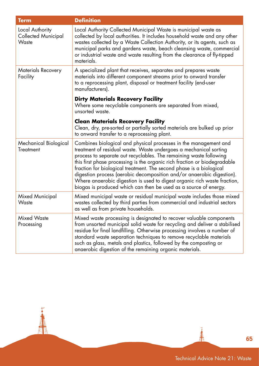| <b>Term</b>                                            | <b>Definition</b>                                                                                                                                                                                                                                                                                                                                                                                                                                                                                                                                                                        |
|--------------------------------------------------------|------------------------------------------------------------------------------------------------------------------------------------------------------------------------------------------------------------------------------------------------------------------------------------------------------------------------------------------------------------------------------------------------------------------------------------------------------------------------------------------------------------------------------------------------------------------------------------------|
| Local Authority<br><b>Collected Municipal</b><br>Waste | Local Authority Collected Municipal Waste is municipal waste as<br>collected by local authorities. It includes household waste and any other<br>wastes collected by a Waste Collection Authority, or its agents, such as<br>municipal parks and gardens waste, beach cleansing waste, commercial<br>or industrial waste and waste resulting from the clearance of fly-tipped<br>materials.                                                                                                                                                                                               |
| Materials Recovery<br>Facility                         | A specialized plant that receives, separates and prepares waste<br>materials into different component streams prior to onward transfer<br>to a reprocessing plant, disposal or treatment facility (end-user<br>manufacturers).                                                                                                                                                                                                                                                                                                                                                           |
|                                                        | <b>Dirty Materials Recovery Facility</b><br>Where some recyclable components are separated from mixed,<br>unsorted waste.                                                                                                                                                                                                                                                                                                                                                                                                                                                                |
|                                                        | <b>Clean Materials Recovery Facility</b><br>Clean, dry, pre-sorted or partially sorted materials are bulked up prior<br>to onward transfer to a reprocessing plant.                                                                                                                                                                                                                                                                                                                                                                                                                      |
| Mechanical Biological<br><b>Treatment</b>              | Combines biological and physical processes in the management and<br>treatment of residual waste. Waste undergoes a mechanical sorting<br>process to separate out recyclables. The remaining waste following<br>this first phase processing is the organic rich fraction or biodegradable<br>fraction for biological treatment. The second phase is a biological<br>digestion process (aerobic decomposition and/or anaerobic digestion).<br>Where anaerobic digestion is used to digest organic rich waste fraction,<br>biogas is produced which can then be used as a source of energy. |
| Mixed Municipal<br>Waste                               | Mixed municipal waste or residual municipal waste includes those mixed<br>wastes collected by third parties from commercial and industrial sectors<br>as well as from private households.                                                                                                                                                                                                                                                                                                                                                                                                |
| <b>Mixed Waste</b><br>Processing                       | Mixed waste processing is designated to recover valuable components<br>from unsorted municipal solid waste for recycling and deliver a stabilised<br>residue for final landfilling. Otherwise processing involves a number of<br>standard waste separation techniques to remove recyclable materials<br>such as glass, metals and plastics, followed by the composting or<br>anaerobic digestion of the remaining organic materials.                                                                                                                                                     |

**AN** 

n<br>13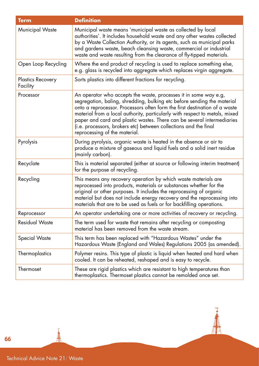| <b>Term</b>                          | <b>Definition</b>                                                                                                                                                                                                                                                                                                                                                                                                                                                                       |
|--------------------------------------|-----------------------------------------------------------------------------------------------------------------------------------------------------------------------------------------------------------------------------------------------------------------------------------------------------------------------------------------------------------------------------------------------------------------------------------------------------------------------------------------|
| Municipal Waste                      | Municipal waste means 'municipal waste as collected by local<br>authorities'. It includes household waste and any other wastes collected<br>by a Waste Collection Authority, or its agents, such as municipal parks<br>and gardens waste, beach cleansing waste, commercial or industrial<br>waste and waste resulting from the clearance of fly-tipped materials.                                                                                                                      |
| Open Loop Recycling                  | Where the end product of recycling is used to replace something else,<br>e.g. glass is recycled into aggregate which replaces virgin aggregate.                                                                                                                                                                                                                                                                                                                                         |
| <b>Plastics Recovery</b><br>Facility | Sorts plastics into different fractions for recycling.                                                                                                                                                                                                                                                                                                                                                                                                                                  |
| Processor                            | An operator who accepts the waste, processes it in some way e.g,<br>segregation, baling, shredding, bulking etc before sending the material<br>onto a reprocessor. Processors often form the first destination of a waste<br>material from a local authority, particularly with respect to metals, mixed<br>paper and card and plastic wastes. There can be several intermediaries<br>(i.e. processors, brokers etc) between collections and the final<br>reprocessing of the material. |
| Pyrolysis                            | During pyrolysis, organic waste is heated in the absence or air to<br>produce a mixture of gaseous and liquid fuels and a solid inert residue<br>(mainly carbon).                                                                                                                                                                                                                                                                                                                       |
| Recyclate                            | This is material separated (either at source or following interim treatment)<br>for the purpose of recycling.                                                                                                                                                                                                                                                                                                                                                                           |
| Recycling                            | This means any recovery operation by which waste materials are<br>reprocessed into products, materials or substances whether for the<br>original or other purposes. It includes the reprocessing of organic<br>material but does not include energy recovery and the reprocessing into<br>materials that are to be used as fuels or for backfilling operations.                                                                                                                         |
| Reprocessor                          | An operator undertaking one or more activities of recovery or recycling.                                                                                                                                                                                                                                                                                                                                                                                                                |
| <b>Residual Waste</b>                | The term used for waste that remains after recycling or composting<br>material has been removed from the waste stream.                                                                                                                                                                                                                                                                                                                                                                  |
| Special Waste                        | This term has been replaced with "Hazardous Wastes" under the<br>Hazardous Waste (England and Wales) Regulations 2005 (as amended).                                                                                                                                                                                                                                                                                                                                                     |
| Thermoplastics                       | Polymer resins. This type of plastic is liquid when heated and hard when<br>cooled. It can be reheated, reshaped and is easy to recycle.                                                                                                                                                                                                                                                                                                                                                |
| Thermoset                            | These are rigid plastics which are resistant to high temperatures than<br>thermoplastics. Thermoset plastics cannot be remolded once set.                                                                                                                                                                                                                                                                                                                                               |

┪

AP

66

すみ